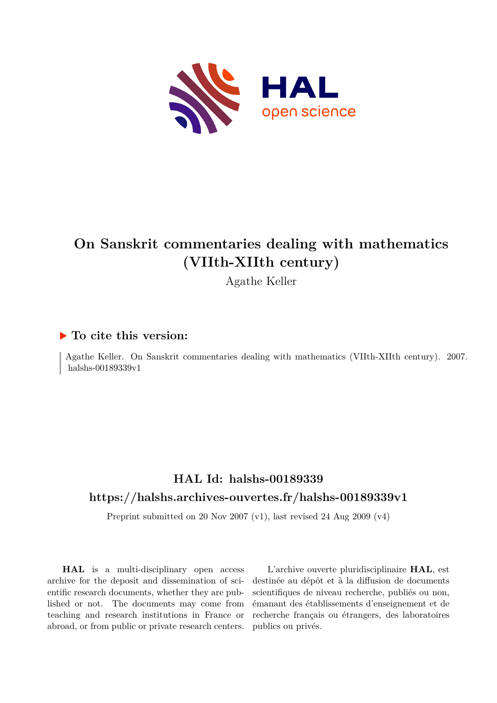

## **On Sanskrit commentaries dealing with mathematics (VIIth-XIIth century)**

Agathe Keller

### **To cite this version:**

Agathe Keller. On Sanskrit commentaries dealing with mathematics (VIIth-XIIth century). 2007. halshs-00189339 $v1$ 

### **HAL Id: halshs-00189339 <https://halshs.archives-ouvertes.fr/halshs-00189339v1>**

Preprint submitted on 20 Nov 2007 (v1), last revised 24 Aug 2009 (v4)

**HAL** is a multi-disciplinary open access archive for the deposit and dissemination of scientific research documents, whether they are published or not. The documents may come from teaching and research institutions in France or abroad, or from public or private research centers.

L'archive ouverte pluridisciplinaire **HAL**, est destinée au dépôt et à la diffusion de documents scientifiques de niveau recherche, publiés ou non, émanant des établissements d'enseignement et de recherche français ou étrangers, des laboratoires publics ou privés.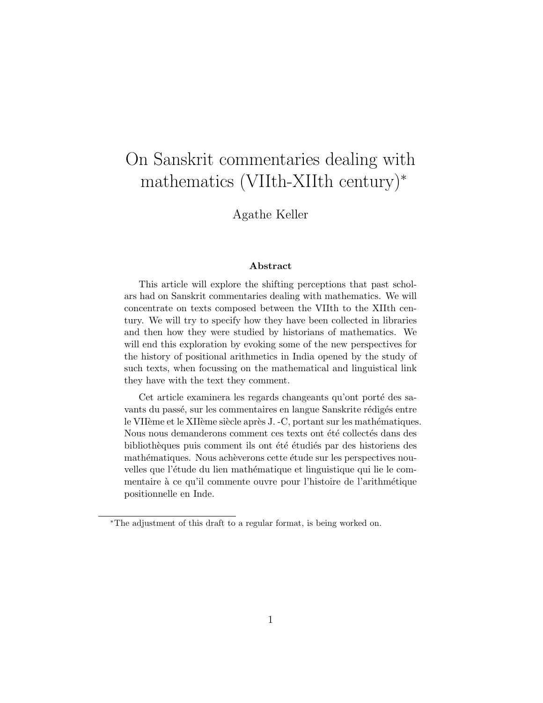## On Sanskrit commentaries dealing with mathematics (VIIth-XIIth century)<sup>∗</sup>

Agathe Keller

#### Abstract

This article will explore the shifting perceptions that past scholars had on Sanskrit commentaries dealing with mathematics. We will concentrate on texts composed between the VIIth to the XIIth century. We will try to specify how they have been collected in libraries and then how they were studied by historians of mathematics. We will end this exploration by evoking some of the new perspectives for the history of positional arithmetics in India opened by the study of such texts, when focussing on the mathematical and linguistical link they have with the text they comment.

Cet article examinera les regards changeants qu'ont porté des savants du passé, sur les commentaires en langue Sanskrite rédigés entre le VIIème et le XIIème siècle après J. -C, portant sur les mathématiques. Nous nous demanderons comment ces texts ont été collectés dans des bibliothèques puis comment ils ont été étudiés par des historiens des mathématiques. Nous achèverons cette étude sur les perspectives nouvelles que l'étude du lien mathématique et linguistique qui lie le commentaire à ce qu'il commente ouvre pour l'histoire de l'arithmétique positionnelle en Inde.

<sup>∗</sup>The adjustment of this draft to a regular format, is being worked on.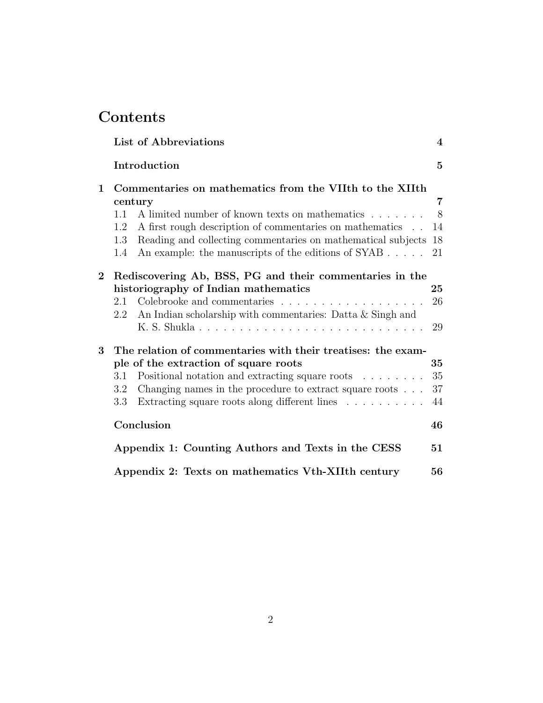## Contents

|                    | List of Abbreviations                                                                                                                                                                                                                                                                                                                                            | $\overline{\mathbf{4}}$ |
|--------------------|------------------------------------------------------------------------------------------------------------------------------------------------------------------------------------------------------------------------------------------------------------------------------------------------------------------------------------------------------------------|-------------------------|
|                    | Introduction                                                                                                                                                                                                                                                                                                                                                     | $\overline{5}$          |
| $\mathbf 1$        | Commentaries on mathematics from the VIIth to the XIIth<br>century<br>A limited number of known texts on mathematics $\ldots \ldots \ldots$<br>1.1<br>A first rough description of commentaries on mathematics<br>1.2<br>Reading and collecting commentaries on mathematical subjects 18<br>1.3<br>An example: the manuscripts of the editions of SYAB 21<br>1.4 | 7<br>8<br>14            |
| $\overline{2}$     | Rediscovering Ab, BSS, PG and their commentaries in the<br>historiography of Indian mathematics<br>Colebrooke and commentaries $\ldots \ldots \ldots \ldots \ldots \ldots$<br>2.1<br>An Indian scholarship with commentaries: Datta & Singh and<br>$2.2\,$                                                                                                       | 25<br>26<br>29          |
| $\overline{\bf 3}$ | The relation of commentaries with their treatises: the exam-<br>ple of the extraction of square roots<br>Positional notation and extracting square roots<br>3.1<br>Changing names in the procedure to extract square roots $\ldots$<br>$3.2\,$<br>Extracting square roots along different lines<br>$3.3\,$                                                       | 35<br>35<br>37<br>44    |
|                    | Conclusion                                                                                                                                                                                                                                                                                                                                                       | 46                      |
|                    | Appendix 1: Counting Authors and Texts in the CESS                                                                                                                                                                                                                                                                                                               | 51                      |
|                    | Appendix 2: Texts on mathematics Vth-XIIth century                                                                                                                                                                                                                                                                                                               | 56                      |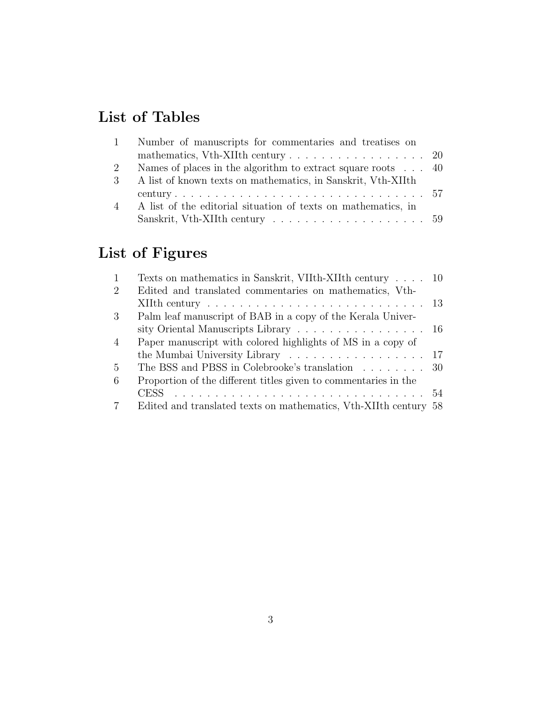## List of Tables

| $\mathbf{1}$  | Number of manuscripts for commentaries and treatises on                              |  |
|---------------|--------------------------------------------------------------------------------------|--|
|               | mathematics, Vth-XIIth century $\ldots \ldots \ldots \ldots \ldots \ldots \ldots$ 20 |  |
| 2             | Names of places in the algorithm to extract square roots $\ldots$ 40                 |  |
| $\mathcal{S}$ | A list of known texts on mathematics, in Sanskrit, Vth-XIIth                         |  |
|               |                                                                                      |  |
|               | 4 A list of the editorial situation of texts on mathematics, in                      |  |
|               |                                                                                      |  |

# List of Figures

| 1              | Texts on mathematics in Sanskrit, VIIth-XIIth century 10                                 |  |
|----------------|------------------------------------------------------------------------------------------|--|
| $\overline{2}$ | Edited and translated commentaries on mathematics, Vth-                                  |  |
|                | XIIth century $\ldots \ldots \ldots \ldots \ldots \ldots \ldots \ldots \ldots \ldots 13$ |  |
| 3              | Palm leaf manuscript of BAB in a copy of the Kerala Univer-                              |  |
|                | sity Oriental Manuscripts Library 16                                                     |  |
| $\overline{4}$ | Paper manuscript with colored highlights of MS in a copy of                              |  |
|                |                                                                                          |  |
| $\overline{5}$ | The BSS and PBSS in Colebrooke's translation $\ldots \ldots \ldots$ 30                   |  |
| 6              | Proportion of the different titles given to commentaries in the                          |  |
|                |                                                                                          |  |
| 7              | Edited and translated texts on mathematics, Vth-XIIth century 58                         |  |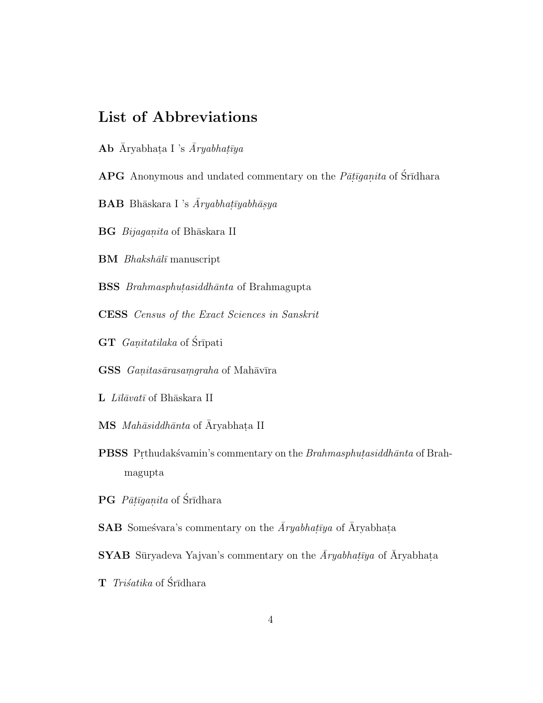### List of Abbreviations

- Ab *Āryabhaṭa I 's <i>Āryabhaṭīya*
- APG Anonymous and undated commentary on the  $P\bar{a}$ *tiganita* of Śrīdhara
- $\mathbf{BAB}\ \text{Bh}$ āskara I 's *Āryabhaṭīyabhāṣya*
- $\bf{B}G$  *Bijaganita* of Bhāskara II
- **BM** *Bhakshālī* manuscript
- **BSS** *Brahmasphutasiddhānta* of Brahmagupta
- CESS *Census of the Exact Sciences in Sanskrit*
- GT *Ganitatilaka* of Śrīpati
- $\textbf{GSS}$  *Ganitasārasaṃgraha* of Mahāvīra
- L *Līlāvatī* of Bhāskara II
- MS *Mahāsiddhānta* of Āryabhaṭa II
- **PBSS** Prthudakśvamin's commentary on the *Brahmasphutasiddhānta* of Brahmagupta
- **PG** *Pāṭīgaṇita* of Śrīdhara
- $\mathbf{SAB}$  Someśvara's commentary on the  $\overline{A}ryabhat\overline{y}ya$  of  $\overline{A}ryabhat\overline{a}$
- **SYAB** Sūryadeva Yajvan's commentary on the  $\bar{A}ryabhat\bar{y}a$  of  $\bar{A}ryabhat\bar{a}$
- **T** *Triśatika* of Śrīdhara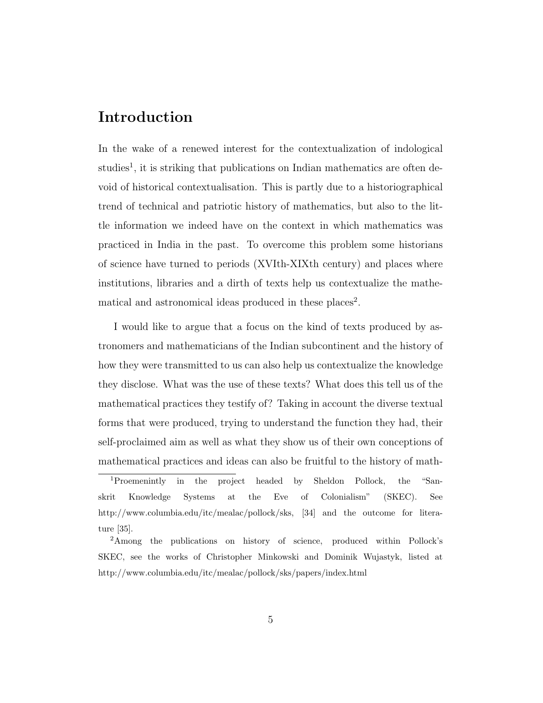### Introduction

In the wake of a renewed interest for the contextualization of indological studies<sup>1</sup>, it is striking that publications on Indian mathematics are often devoid of historical contextualisation. This is partly due to a historiographical trend of technical and patriotic history of mathematics, but also to the little information we indeed have on the context in which mathematics was practiced in India in the past. To overcome this problem some historians of science have turned to periods (XVIth-XIXth century) and places where institutions, libraries and a dirth of texts help us contextualize the mathematical and astronomical ideas produced in these places<sup>2</sup>.

I would like to argue that a focus on the kind of texts produced by astronomers and mathematicians of the Indian subcontinent and the history of how they were transmitted to us can also help us contextualize the knowledge they disclose. What was the use of these texts? What does this tell us of the mathematical practices they testify of? Taking in account the diverse textual forms that were produced, trying to understand the function they had, their self-proclaimed aim as well as what they show us of their own conceptions of mathematical practices and ideas can also be fruitful to the history of math-

<sup>1</sup>Proemenintly in the project headed by Sheldon Pollock, the "Sanskrit Knowledge Systems at the Eve of Colonialism" (SKEC). See http://www.columbia.edu/itc/mealac/pollock/sks, [34] and the outcome for literature [35].

<sup>2</sup>Among the publications on history of science, produced within Pollock's SKEC, see the works of Christopher Minkowski and Dominik Wujastyk, listed at http://www.columbia.edu/itc/mealac/pollock/sks/papers/index.html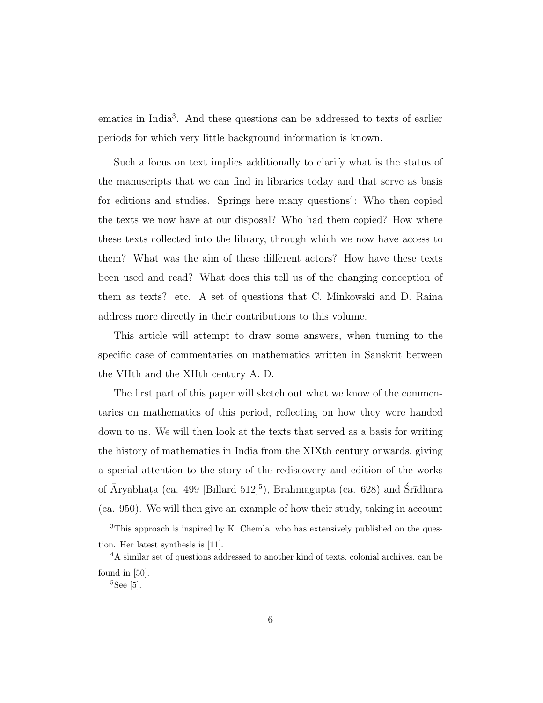ematics in India<sup>3</sup>. And these questions can be addressed to texts of earlier periods for which very little background information is known.

Such a focus on text implies additionally to clarify what is the status of the manuscripts that we can find in libraries today and that serve as basis for editions and studies. Springs here many questions<sup>4</sup>: Who then copied the texts we now have at our disposal? Who had them copied? How where these texts collected into the library, through which we now have access to them? What was the aim of these different actors? How have these texts been used and read? What does this tell us of the changing conception of them as texts? etc. A set of questions that C. Minkowski and D. Raina address more directly in their contributions to this volume.

This article will attempt to draw some answers, when turning to the specific case of commentaries on mathematics written in Sanskrit between the VIIth and the XIIth century A. D.

The first part of this paper will sketch out what we know of the commentaries on mathematics of this period, reflecting on how they were handed down to us. We will then look at the texts that served as a basis for writing the history of mathematics in India from the XIXth century onwards, giving a special attention to the story of the rediscovery and edition of the works of Āryabhaṭa (ca. 499 [Billard 512]<sup>5</sup>), Brahmagupta (ca. 628) and Śrīdhara (ca. 950). We will then give an example of how their study, taking in account

<sup>&</sup>lt;sup>3</sup>This approach is inspired by K. Chemla, who has extensively published on the question. Her latest synthesis is [11].

<sup>&</sup>lt;sup>4</sup>A similar set of questions addressed to another kind of texts, colonial archives, can be found in [50].

 ${}^{5}$ See [5].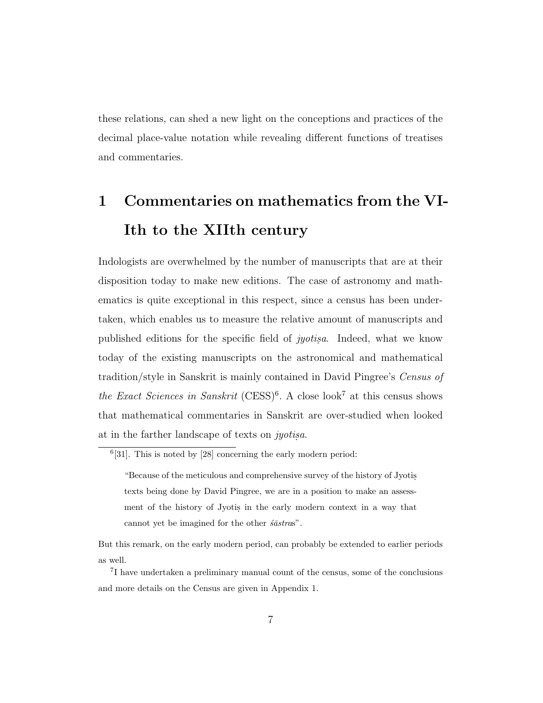these relations, can shed a new light on the conceptions and practices of the decimal place-value notation while revealing different functions of treatises and commentaries.

# 1 Commentaries on mathematics from the VI-Ith to the XIIth century

Indologists are overwhelmed by the number of manuscripts that are at their disposition today to make new editions. The case of astronomy and mathematics is quite exceptional in this respect, since a census has been undertaken, which enables us to measure the relative amount of manuscripts and published editions for the specific field of *jyotis.a*. Indeed, what we know today of the existing manuscripts on the astronomical and mathematical tradition/style in Sanskrit is mainly contained in David Pingree's *Census of the Exact Sciences in Sanskrit* (CESS)<sup>6</sup>. A close look<sup>7</sup> at this census shows that mathematical commentaries in Sanskrit are over-studied when looked at in the farther landscape of texts on *jyotis.a*.

 $6[31]$ . This is noted by  $[28]$  concerning the early modern period:

<sup>&</sup>quot;Because of the meticulous and comprehensive survey of the history of Jyotis. texts being done by David Pingree, we are in a position to make an assessment of the history of Jyotis in the early modern context in a way that cannot yet be imagined for the other  $s\bar{a}stras$ ".

But this remark, on the early modern period, can probably be extended to earlier periods as well.

<sup>7</sup> I have undertaken a preliminary manual count of the census, some of the conclusions and more details on the Census are given in Appendix 1.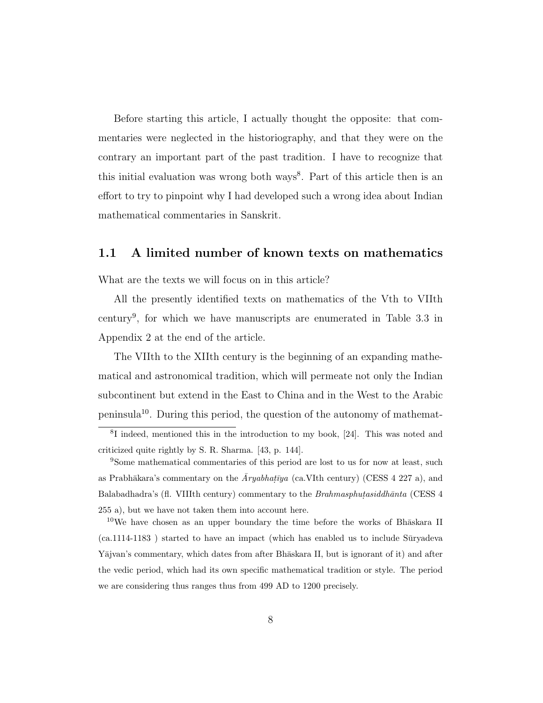Before starting this article, I actually thought the opposite: that commentaries were neglected in the historiography, and that they were on the contrary an important part of the past tradition. I have to recognize that this initial evaluation was wrong both ways<sup>8</sup>. Part of this article then is an effort to try to pinpoint why I had developed such a wrong idea about Indian mathematical commentaries in Sanskrit.

### 1.1 A limited number of known texts on mathematics

What are the texts we will focus on in this article?

All the presently identified texts on mathematics of the Vth to VIIth century<sup>9</sup> , for which we have manuscripts are enumerated in Table 3.3 in Appendix 2 at the end of the article.

The VIIth to the XIIth century is the beginning of an expanding mathematical and astronomical tradition, which will permeate not only the Indian subcontinent but extend in the East to China and in the West to the Arabic peninsula<sup>10</sup>. During this period, the question of the autonomy of mathemat-

<sup>10</sup>We have chosen as an upper boundary the time before the works of Bh $\bar{a}$ skara II  $(ca.1114-1183)$  started to have an impact (which has enabled us to include Suryadeva Yājvan's commentary, which dates from after Bhāskara II, but is ignorant of it) and after the vedic period, which had its own specific mathematical tradition or style. The period we are considering thus ranges thus from 499 AD to 1200 precisely.

<sup>8</sup> I indeed, mentioned this in the introduction to my book, [24]. This was noted and criticized quite rightly by S. R. Sharma. [43, p. 144].

<sup>9</sup>Some mathematical commentaries of this period are lost to us for now at least, such as Prabhākara's commentary on the  $\bar{A}ryabhat\bar{y}a$  (ca.VIth century) (CESS 4 227 a), and Balabadhadra's (fl. VIIIth century) commentary to the *Brahmasphutasiddhanta* (CESS  $4$ 255 a), but we have not taken them into account here.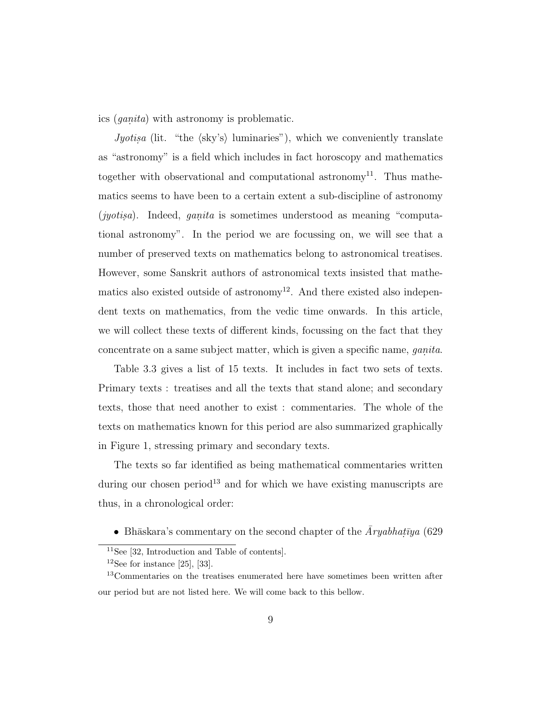ics (*ganita*) with astronomy is problematic.

*Jyotisa* (lit. "the  $\langle$ sky's) luminaries"), which we conveniently translate as "astronomy" is a field which includes in fact horoscopy and mathematics together with observational and computational astronomy<sup>11</sup>. Thus mathematics seems to have been to a certain extent a sub-discipline of astronomy (*jyotisa*). Indeed, *ganita* is sometimes understood as meaning "computational astronomy". In the period we are focussing on, we will see that a number of preserved texts on mathematics belong to astronomical treatises. However, some Sanskrit authors of astronomical texts insisted that mathematics also existed outside of astronomy<sup>12</sup>. And there existed also independent texts on mathematics, from the vedic time onwards. In this article, we will collect these texts of different kinds, focussing on the fact that they concentrate on a same subject matter, which is given a specific name, *ganita*.

Table 3.3 gives a list of 15 texts. It includes in fact two sets of texts. Primary texts : treatises and all the texts that stand alone; and secondary texts, those that need another to exist : commentaries. The whole of the texts on mathematics known for this period are also summarized graphically in Figure 1, stressing primary and secondary texts.

The texts so far identified as being mathematical commentaries written during our chosen period<sup>13</sup> and for which we have existing manuscripts are thus, in a chronological order:

• Bhāskara's commentary on the second chapter of the  $\bar{A}ryabhat\bar{v}ya$  (629

<sup>11</sup>See [32, Introduction and Table of contents].

<sup>&</sup>lt;sup>12</sup>See for instance [25], [33].

<sup>&</sup>lt;sup>13</sup>Commentaries on the treatises enumerated here have sometimes been written after our period but are not listed here. We will come back to this bellow.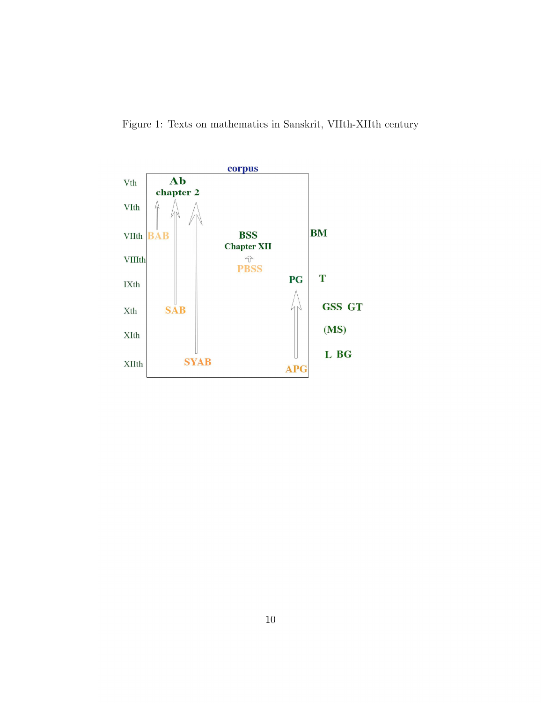Figure 1: Texts on mathematics in Sanskrit, VIIth-XIIth century

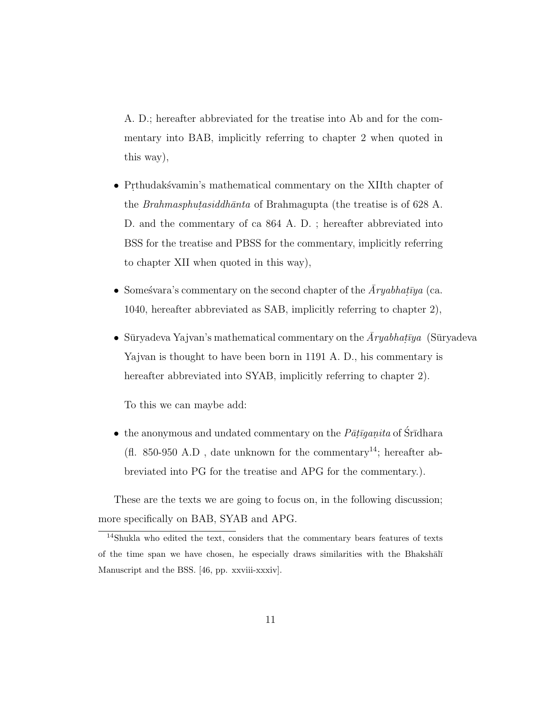A. D.; hereafter abbreviated for the treatise into Ab and for the commentary into BAB, implicitly referring to chapter 2 when quoted in this way),

- Prthudakšvamin's mathematical commentary on the XIIth chapter of the *Brahmasphutasiddhānta* of Brahmagupta (the treatise is of 628 A. D. and the commentary of ca 864 A. D. ; hereafter abbreviated into BSS for the treatise and PBSS for the commentary, implicitly referring to chapter XII when quoted in this way),
- Someśvara's commentary on the second chapter of the  $\bar{A}ryabhat\bar{v}ya$  (ca. 1040, hereafter abbreviated as SAB, implicitly referring to chapter 2),
- Sūryadeva Yajvan's mathematical commentary on the  $\bar{A}ryabhat\bar{v}ya$  (Sūryadeva Yajvan is thought to have been born in 1191 A. D., his commentary is hereafter abbreviated into SYAB, implicitly referring to chapter 2).

To this we can maybe add:

• the anonymous and undated commentary on the  $P\bar{a}$ *tiganita* of Śrīdhara (fl. 850-950 A.D, date unknown for the commentary<sup>14</sup>; hereafter abbreviated into PG for the treatise and APG for the commentary.).

These are the texts we are going to focus on, in the following discussion; more specifically on BAB, SYAB and APG.

<sup>&</sup>lt;sup>14</sup>Shukla who edited the text, considers that the commentary bears features of texts of the time span we have chosen, he especially draws similarities with the Bhaksh $\overline{\text{al}}$ Manuscript and the BSS. [46, pp. xxviii-xxxiv].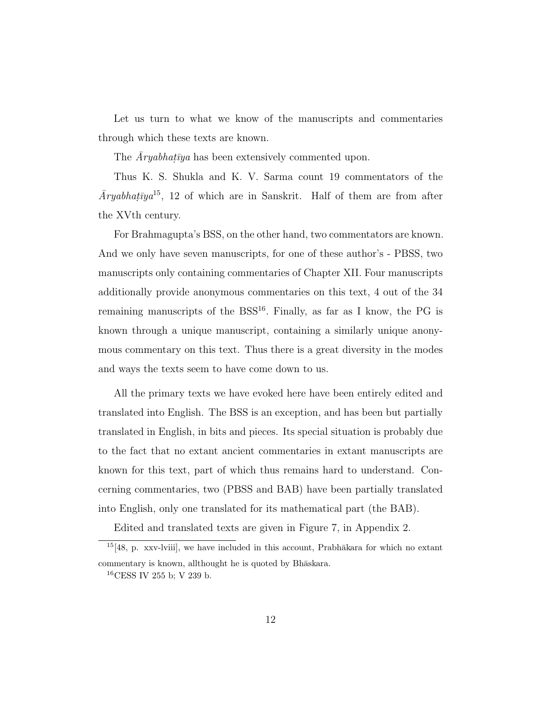Let us turn to what we know of the manuscripts and commentaries through which these texts are known.

The  $\bar{A}ryabhat\{y}a$  has been extensively commented upon.

Thus K. S. Shukla and K. V. Sarma count 19 commentators of the  $\bar{A}ryabhat\bar{y}a^{15}$ , 12 of which are in Sanskrit. Half of them are from after the XVth century.

For Brahmagupta's BSS, on the other hand, two commentators are known. And we only have seven manuscripts, for one of these author's - PBSS, two manuscripts only containing commentaries of Chapter XII. Four manuscripts additionally provide anonymous commentaries on this text, 4 out of the 34 remaining manuscripts of the  $BSS<sup>16</sup>$ . Finally, as far as I know, the PG is known through a unique manuscript, containing a similarly unique anonymous commentary on this text. Thus there is a great diversity in the modes and ways the texts seem to have come down to us.

All the primary texts we have evoked here have been entirely edited and translated into English. The BSS is an exception, and has been but partially translated in English, in bits and pieces. Its special situation is probably due to the fact that no extant ancient commentaries in extant manuscripts are known for this text, part of which thus remains hard to understand. Concerning commentaries, two (PBSS and BAB) have been partially translated into English, only one translated for its mathematical part (the BAB).

Edited and translated texts are given in Figure 7, in Appendix 2.

 $15[48, p. xxy-lviii]$ , we have included in this account, Prabh $\bar{a}$ kara for which no extant commentary is known, allthought he is quoted by Bhaskara.

 $16$ CESS IV 255 b; V 239 b.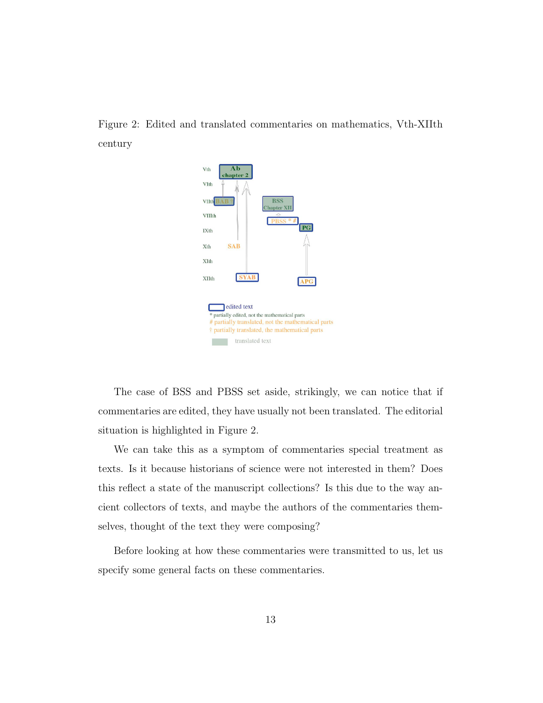Figure 2: Edited and translated commentaries on mathematics, Vth-XIIth century



The case of BSS and PBSS set aside, strikingly, we can notice that if commentaries are edited, they have usually not been translated. The editorial situation is highlighted in Figure 2.

We can take this as a symptom of commentaries special treatment as texts. Is it because historians of science were not interested in them? Does this reflect a state of the manuscript collections? Is this due to the way ancient collectors of texts, and maybe the authors of the commentaries themselves, thought of the text they were composing?

Before looking at how these commentaries were transmitted to us, let us specify some general facts on these commentaries.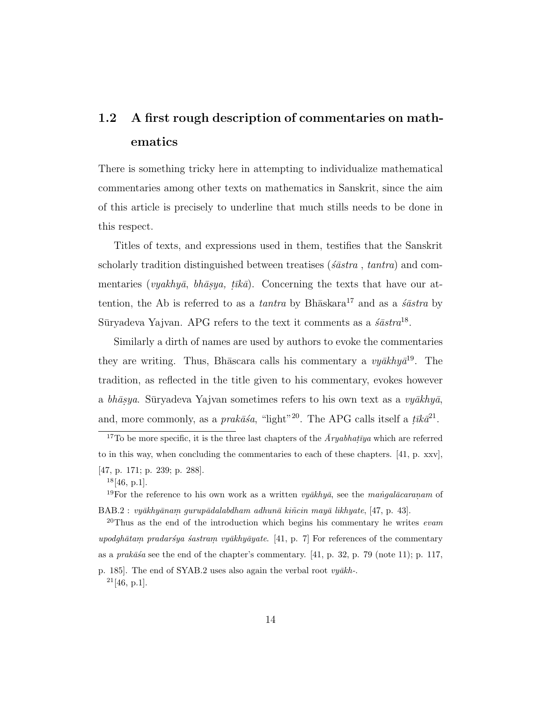## 1.2 A first rough description of commentaries on mathematics

There is something tricky here in attempting to individualize mathematical commentaries among other texts on mathematics in Sanskrit, since the aim of this article is precisely to underline that much stills needs to be done in this respect.

Titles of texts, and expressions used in them, testifies that the Sanskrit scholarly tradition distinguished between treatises (*´s¯astra* , *tantra*) and commentaries (*vyakhyā*, *bhāsya*, *tīkā*). Concerning the texts that have our attention, the Ab is referred to as a *tantra* by Bh $\bar{a}$ skara<sup>17</sup> and as a *s* $\bar{a}$ *stra* by Sūryadeva Yajvan. APG refers to the text it comments as a  $\acute{s}a$ stra<sup>18</sup>.

Similarly a dirth of names are used by authors to evoke the commentaries they are writing. Thus, Bh $\bar{a}$ scara calls his commentary a *vy* $\bar{a}khy\bar{a}^{19}$ . The tradition, as reflected in the title given to his commentary, evokes however a *bhāsya*. Sūryadeva Yajvan sometimes refers to his own text as a *vyākhyā*, and, more commonly, as a *prakāsa*, "light"<sup>20</sup>. The APG calls itself a  $\bar{t}$ *ik* $\bar{a}^{21}$ .

<sup>&</sup>lt;sup>17</sup>To be more specific, it is the three last chapters of the  $\bar{A}ryabhatiya$  which are referred to in this way, when concluding the commentaries to each of these chapters. [41, p. xxv], [47, p. 171; p. 239; p. 288].

 $18[46, p.1].$ 

<sup>&</sup>lt;sup>19</sup>For the reference to his own work as a written *vyākhyā*, see the *mangalācaranam* of BAB.2 : vyākhyānam gurupādalabdham adhunā kiñcin mayā likhyate, [47, p. 43].

<sup>&</sup>lt;sup>20</sup>Thus as the end of the introduction which begins his commentary he writes *evam* upodghātam pradaršya šastram. vyākhyāyate. [41, p. 7] For references of the commentary as a *prak* $\bar{a}\bar{s}a$  see the end of the chapter's commentary. [41, p. 32, p. 79 (note 11); p. 117, p. 185]. The end of SYAB.2 uses also again the verbal root  $vy\bar{a}kh$ -.  $^{21}[46, p.1].$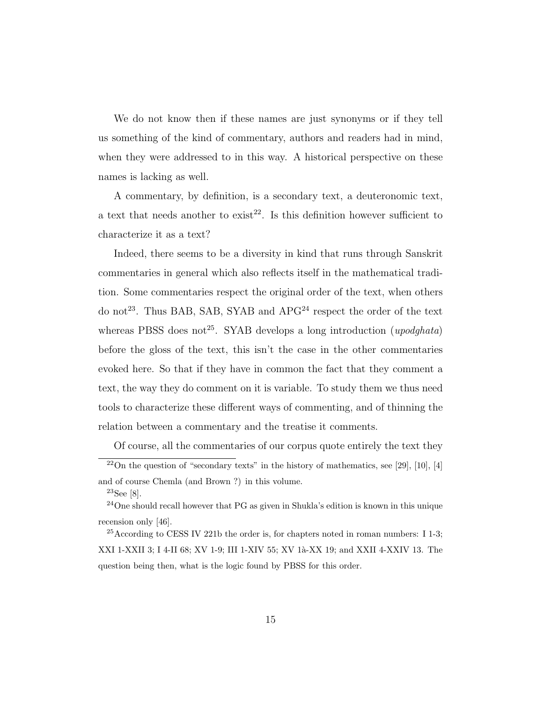We do not know then if these names are just synonyms or if they tell us something of the kind of commentary, authors and readers had in mind, when they were addressed to in this way. A historical perspective on these names is lacking as well.

A commentary, by definition, is a secondary text, a deuteronomic text, a text that needs another to exist<sup>22</sup>. Is this definition however sufficient to characterize it as a text?

Indeed, there seems to be a diversity in kind that runs through Sanskrit commentaries in general which also reflects itself in the mathematical tradition. Some commentaries respect the original order of the text, when others do not<sup>23</sup>. Thus BAB, SAB, SYAB and  $APG<sup>24</sup>$  respect the order of the text whereas PBSS does not<sup>25</sup>. SYAB develops a long introduction (*upodghata*) before the gloss of the text, this isn't the case in the other commentaries evoked here. So that if they have in common the fact that they comment a text, the way they do comment on it is variable. To study them we thus need tools to characterize these different ways of commenting, and of thinning the relation between a commentary and the treatise it comments.

Of course, all the commentaries of our corpus quote entirely the text they

 $^{22}$ On the question of "secondary texts" in the history of mathematics, see [29], [10], [4] and of course Chemla (and Brown ?) in this volume.

<sup>23</sup>See [8].

<sup>24</sup>One should recall however that PG as given in Shukla's edition is known in this unique recension only [46].

<sup>25</sup>According to CESS IV 221b the order is, for chapters noted in roman numbers: I 1-3; XXI 1-XXII 3; I 4-II 68; XV 1-9; III 1-XIV 55; XV 1à-XX 19; and XXII 4-XXIV 13. The question being then, what is the logic found by PBSS for this order.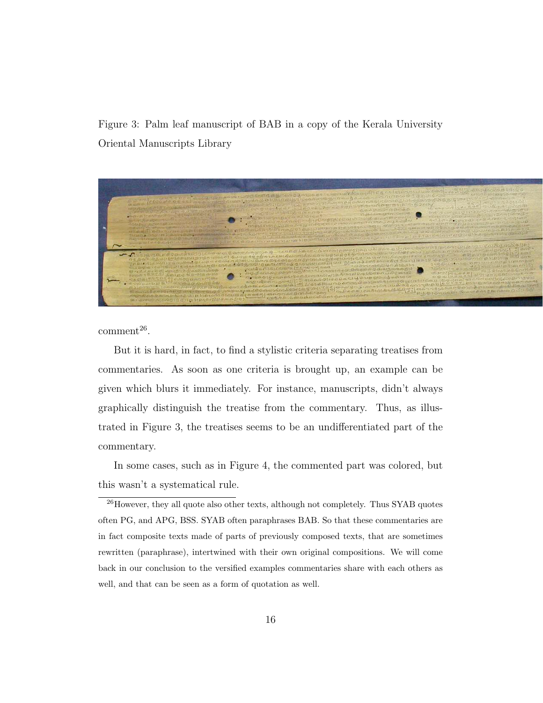Figure 3: Palm leaf manuscript of BAB in a copy of the Kerala University Oriental Manuscripts Library



 $comment<sup>26</sup>$ .

But it is hard, in fact, to find a stylistic criteria separating treatises from commentaries. As soon as one criteria is brought up, an example can be given which blurs it immediately. For instance, manuscripts, didn't always graphically distinguish the treatise from the commentary. Thus, as illustrated in Figure 3, the treatises seems to be an undifferentiated part of the commentary.

In some cases, such as in Figure 4, the commented part was colored, but this wasn't a systematical rule.

 $^{26}\rm{However,~they~all}$  quote also other texts, although not completely. Thus SYAB quotes often PG, and APG, BSS. SYAB often paraphrases BAB. So that these commentaries are in fact composite texts made of parts of previously composed texts, that are sometimes rewritten (paraphrase), intertwined with their own original compositions. We will come back in our conclusion to the versified examples commentaries share with each others as well, and that can be seen as a form of quotation as well.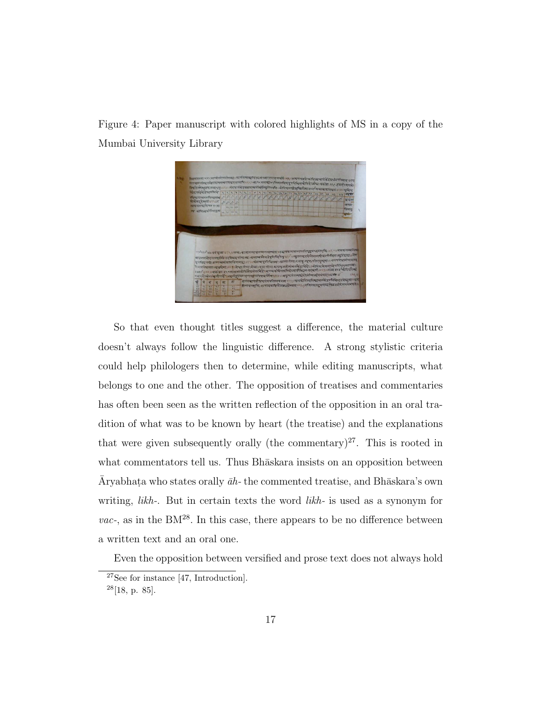Figure 4: Paper manuscript with colored highlights of MS in a copy of the Mumbai University Library



So that even thought titles suggest a difference, the material culture doesn't always follow the linguistic difference. A strong stylistic criteria could help philologers then to determine, while editing manuscripts, what belongs to one and the other. The opposition of treatises and commentaries has often been seen as the written reflection of the opposition in an oral tradition of what was to be known by heart (the treatise) and the explanations that were given subsequently orally (the commentary)<sup>27</sup>. This is rooted in what commentators tell us. Thus Bhaskara insists on an opposition between Āryabhaṭa who states orally  $\bar{a}h$ - the commented treatise, and Bhāskara's own writing, *likh-*. But in certain texts the word *likh-* is used as a synonym for  $vac$ , as in the  $BM^{28}$ . In this case, there appears to be no difference between a written text and an oral one.

Even the opposition between versified and prose text does not always hold

<sup>27</sup>See for instance [47, Introduction].

 $28[18, p. 85].$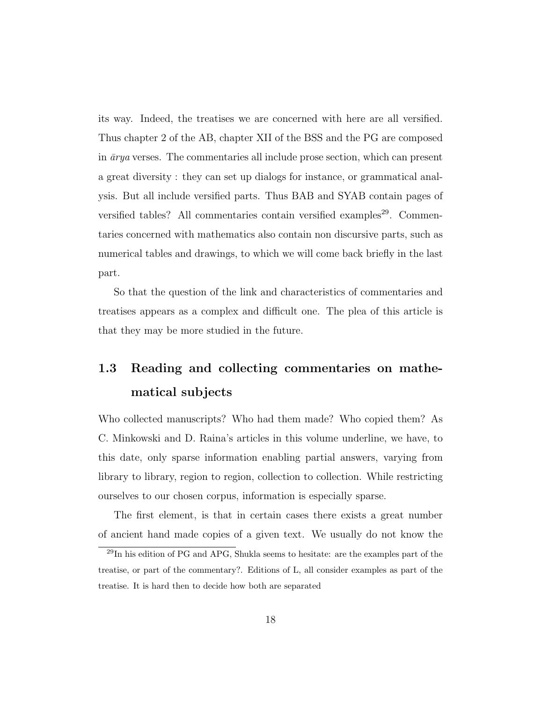its way. Indeed, the treatises we are concerned with here are all versified. Thus chapter 2 of the AB, chapter XII of the BSS and the PG are composed in  $\bar{a}rya$  verses. The commentaries all include prose section, which can present a great diversity : they can set up dialogs for instance, or grammatical analysis. But all include versified parts. Thus BAB and SYAB contain pages of versified tables? All commentaries contain versified examples<sup>29</sup>. Commentaries concerned with mathematics also contain non discursive parts, such as numerical tables and drawings, to which we will come back briefly in the last part.

So that the question of the link and characteristics of commentaries and treatises appears as a complex and difficult one. The plea of this article is that they may be more studied in the future.

### 1.3 Reading and collecting commentaries on mathematical subjects

Who collected manuscripts? Who had them made? Who copied them? As C. Minkowski and D. Raina's articles in this volume underline, we have, to this date, only sparse information enabling partial answers, varying from library to library, region to region, collection to collection. While restricting ourselves to our chosen corpus, information is especially sparse.

The first element, is that in certain cases there exists a great number of ancient hand made copies of a given text. We usually do not know the

<sup>29</sup>In his edition of PG and APG, Shukla seems to hesitate: are the examples part of the treatise, or part of the commentary?. Editions of L, all consider examples as part of the treatise. It is hard then to decide how both are separated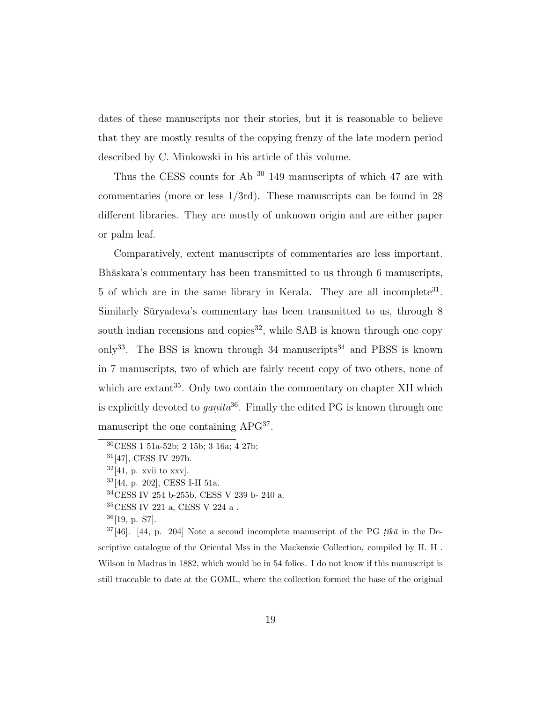dates of these manuscripts nor their stories, but it is reasonable to believe that they are mostly results of the copying frenzy of the late modern period described by C. Minkowski in his article of this volume.

Thus the CESS counts for Ab <sup>30</sup> 149 manuscripts of which 47 are with commentaries (more or less 1/3rd). These manuscripts can be found in 28 different libraries. They are mostly of unknown origin and are either paper or palm leaf.

Comparatively, extent manuscripts of commentaries are less important. Bhāskara's commentary has been transmitted to us through 6 manuscripts, 5 of which are in the same library in Kerala. They are all incomplete<sup>31</sup>. Similarly Sūryadeva's commentary has been transmitted to us, through 8 south indian recensions and copies<sup>32</sup>, while SAB is known through one copy only<sup>33</sup>. The BSS is known through 34 manuscripts<sup>34</sup> and PBSS is known in 7 manuscripts, two of which are fairly recent copy of two others, none of which are extant<sup>35</sup>. Only two contain the commentary on chapter XII which is explicitly devoted to *ganita*<sup>36</sup>. Finally the edited PG is known through one manuscript the one containing APG<sup>37</sup>.

<sup>34</sup>CESS IV 254 b-255b, CESS V 239 b- 240 a.

 $36[19, p. S7]$ .

 $37[46]$ . [44, p. 204] Note a second incomplete manuscript of the PG that in the Descriptive catalogue of the Oriental Mss in the Mackenzie Collection, compiled by H. H . Wilson in Madras in 1882, which would be in 54 folios. I do not know if this manuscript is still traceable to date at the GOML, where the collection formed the base of the original

<sup>30</sup>CESS 1 51a-52b; 2 15b; 3 16a; 4 27b;

<sup>31</sup>[47], CESS IV 297b.

 $32[41, p. xvii$  to xxv.

<sup>33</sup>[44, p. 202], CESS I-II 51a.

 $35\mathrm{CESS}$  IV 221 a, CESS V 224 a .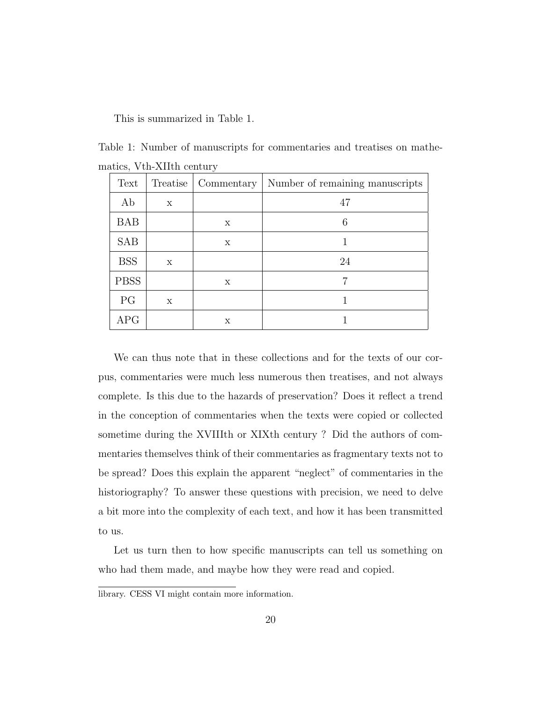This is summarized in Table 1.

Table 1: Number of manuscripts for commentaries and treatises on mathematics, Vth-XIIth century

| Text        | Treatise | Commentary | Number of remaining manuscripts |
|-------------|----------|------------|---------------------------------|
| Ab          | X        |            | 47                              |
| <b>BAB</b>  |          | х          | 6                               |
| <b>SAB</b>  |          | X          |                                 |
| <b>BSS</b>  | X        |            | 24                              |
| <b>PBSS</b> |          | X          | 7                               |
| PG          | X        |            |                                 |
| APG         |          | X          |                                 |

We can thus note that in these collections and for the texts of our corpus, commentaries were much less numerous then treatises, and not always complete. Is this due to the hazards of preservation? Does it reflect a trend in the conception of commentaries when the texts were copied or collected sometime during the XVIIIth or XIXth century ? Did the authors of commentaries themselves think of their commentaries as fragmentary texts not to be spread? Does this explain the apparent "neglect" of commentaries in the historiography? To answer these questions with precision, we need to delve a bit more into the complexity of each text, and how it has been transmitted to us.

Let us turn then to how specific manuscripts can tell us something on who had them made, and maybe how they were read and copied.

library. CESS VI might contain more information.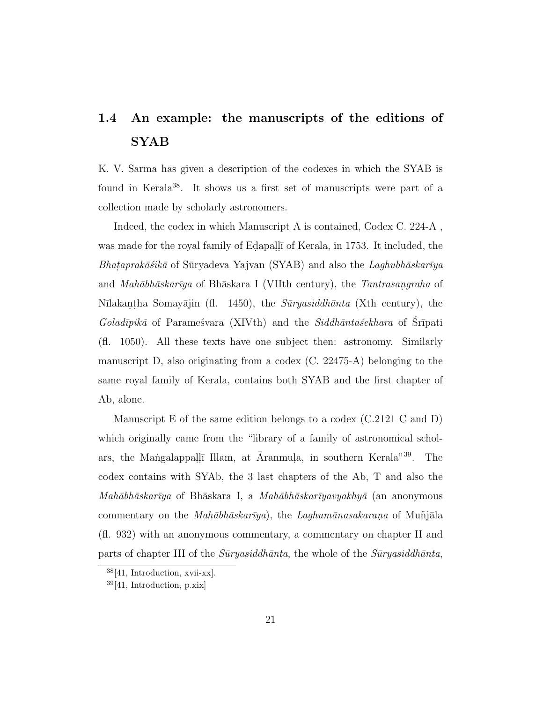### 1.4 An example: the manuscripts of the editions of SYAB

K. V. Sarma has given a description of the codexes in which the SYAB is found in Kerala<sup>38</sup>. It shows us a first set of manuscripts were part of a collection made by scholarly astronomers.

Indeed, the codex in which Manuscript A is contained, Codex C. 224-A , was made for the royal family of Edapall<del>i</del> of Kerala, in 1753. It included, the *Bhataprakāśikā* of Sūryadeva Yajvan (SYAB) and also the *Laghubhāskarīya* and *Mahābhāskarīya* of Bhāskara I (VIIth century), the *Tantrasangraha* of Nīlakantha Somayājin (fl. 1450), the *Sūryasiddhānta* (Xth century), the *Goladīpikā* of Paramestvara (XIVth) and the *Siddhāntaśekhara* of Srīpati (fl. 1050). All these texts have one subject then: astronomy. Similarly manuscript D, also originating from a codex (C. 22475-A) belonging to the same royal family of Kerala, contains both SYAB and the first chapter of Ab, alone.

Manuscript E of the same edition belongs to a codex (C.2121 C and D) which originally came from the "library of a family of astronomical scholars, the Mangalappalli Illam, at Āranmula, in southern Kerala<sup>"39</sup>. The codex contains with SYAb, the 3 last chapters of the Ab, T and also the *Mah¯abh¯askar¯ıya* of Bh¯askara I, a *Mah¯abh¯askar¯ıyavyakhy¯a* (an anonymous commentary on the *Mahābhāskarīya*), the *Laghumānasakarana* of Muñjāla (fl. 932) with an anonymous commentary, a commentary on chapter II and parts of chapter III of the *S¯uryasiddh¯anta*, the whole of the *S¯uryasiddh¯anta*,

<sup>38</sup>[41, Introduction, xvii-xx].

 $39[41, Introduction, p.xix]$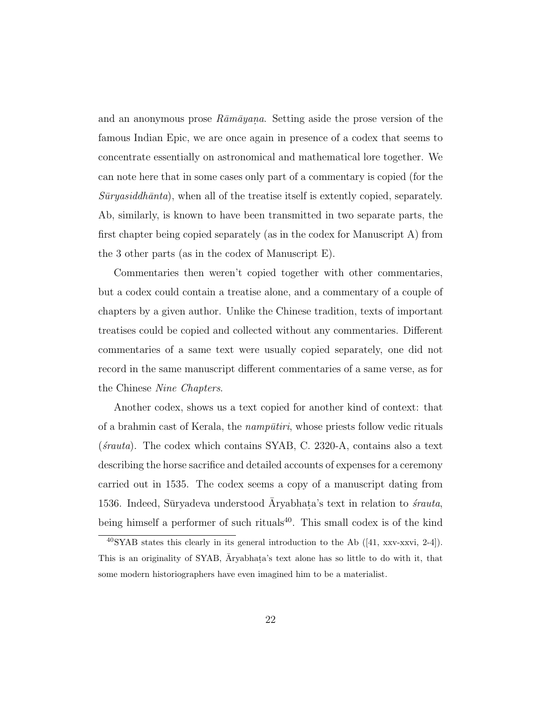and an anonymous prose  $R\bar{a}m\bar{a}y$  and. Setting aside the prose version of the famous Indian Epic, we are once again in presence of a codex that seems to concentrate essentially on astronomical and mathematical lore together. We can note here that in some cases only part of a commentary is copied (for the  $S\bar{u}ryasiddh\bar{a}nta$ , when all of the treatise itself is extently copied, separately. Ab, similarly, is known to have been transmitted in two separate parts, the first chapter being copied separately (as in the codex for Manuscript A) from the 3 other parts (as in the codex of Manuscript E).

Commentaries then weren't copied together with other commentaries, but a codex could contain a treatise alone, and a commentary of a couple of chapters by a given author. Unlike the Chinese tradition, texts of important treatises could be copied and collected without any commentaries. Different commentaries of a same text were usually copied separately, one did not record in the same manuscript different commentaries of a same verse, as for the Chinese *Nine Chapters*.

Another codex, shows us a text copied for another kind of context: that of a brahmin cast of Kerala, the *nampūtiri*, whose priests follow vedic rituals (*´srauta*). The codex which contains SYAB, C. 2320-A, contains also a text describing the horse sacrifice and detailed accounts of expenses for a ceremony carried out in 1535. The codex seems a copy of a manuscript dating from 1536. Indeed, Süryadeva understood  $\bar{A}$ ryabhata's text in relation to *śrauta*, being himself a performer of such rituals<sup>40</sup>. This small codex is of the kind

 $^{40}$ SYAB states this clearly in its general introduction to the Ab ([41, xxv-xxvi, 2-4]). This is an originality of SYAB,  $\bar{A}$ ryabhata's text alone has so little to do with it, that some modern historiographers have even imagined him to be a materialist.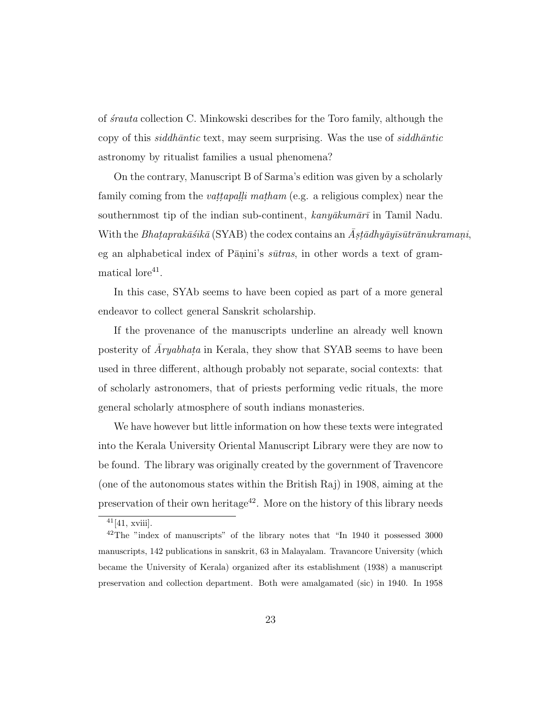of *´srauta* collection C. Minkowski describes for the Toro family, although the copy of this *siddh¯antic* text, may seem surprising. Was the use of *siddh¯antic* astronomy by ritualist families a usual phenomena?

On the contrary, Manuscript B of Sarma's edition was given by a scholarly family coming from the *vattapalli matham* (e.g. a religious complex) near the southernmost tip of the indian sub-continent,  $kany\bar{a}kum\bar{a}r\bar{i}$  in Tamil Nadu. With the *Bhataprakāśikā* (SYAB) the codex contains an  $\bar{A}$ *stādhyāyīsūtrānukramani*, eg an alphabetical index of Pāṇini's  $s\bar{u}$ *tras*, in other words a text of gram $matically$  have  $41$ .

In this case, SYAb seems to have been copied as part of a more general endeavor to collect general Sanskrit scholarship.

If the provenance of the manuscripts underline an already well known posterity of  $\overline{A}ryabhata$  in Kerala, they show that SYAB seems to have been used in three different, although probably not separate, social contexts: that of scholarly astronomers, that of priests performing vedic rituals, the more general scholarly atmosphere of south indians monasteries.

We have however but little information on how these texts were integrated into the Kerala University Oriental Manuscript Library were they are now to be found. The library was originally created by the government of Travencore (one of the autonomous states within the British Raj) in 1908, aiming at the preservation of their own heritage<sup>42</sup>. More on the history of this library needs

 $41[41, xviii]$ .

 $^{42}$ The "index of manuscripts" of the library notes that "In 1940 it possessed 3000 manuscripts, 142 publications in sanskrit, 63 in Malayalam. Travancore University (which became the University of Kerala) organized after its establishment (1938) a manuscript preservation and collection department. Both were amalgamated (sic) in 1940. In 1958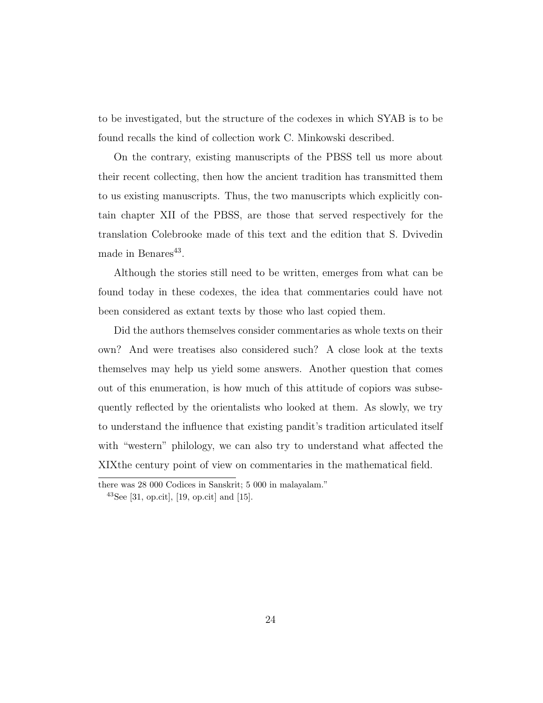to be investigated, but the structure of the codexes in which SYAB is to be found recalls the kind of collection work C. Minkowski described.

On the contrary, existing manuscripts of the PBSS tell us more about their recent collecting, then how the ancient tradition has transmitted them to us existing manuscripts. Thus, the two manuscripts which explicitly contain chapter XII of the PBSS, are those that served respectively for the translation Colebrooke made of this text and the edition that S. Dvivedin made in Benares<sup>43</sup>.

Although the stories still need to be written, emerges from what can be found today in these codexes, the idea that commentaries could have not been considered as extant texts by those who last copied them.

Did the authors themselves consider commentaries as whole texts on their own? And were treatises also considered such? A close look at the texts themselves may help us yield some answers. Another question that comes out of this enumeration, is how much of this attitude of copiors was subsequently reflected by the orientalists who looked at them. As slowly, we try to understand the influence that existing pandit's tradition articulated itself with "western" philology, we can also try to understand what affected the XIXthe century point of view on commentaries in the mathematical field.

there was 28 000 Codices in Sanskrit; 5 000 in malayalam."

<sup>&</sup>lt;sup>43</sup>See [31, op.cit], [19, op.cit] and [15].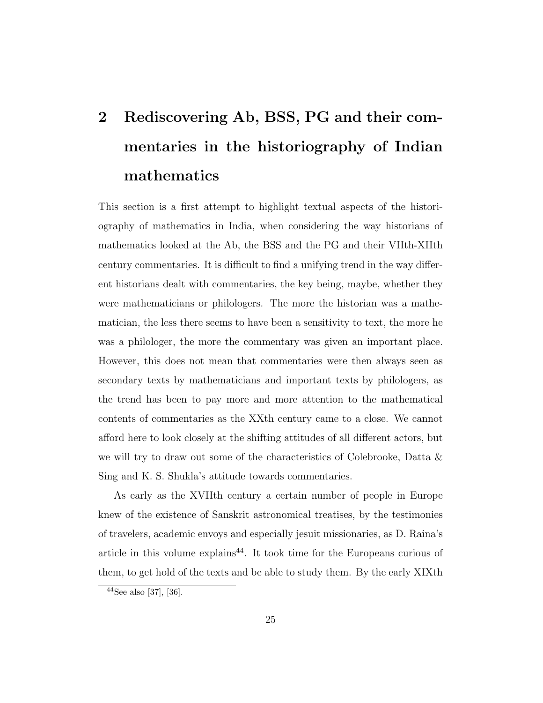# 2 Rediscovering Ab, BSS, PG and their commentaries in the historiography of Indian mathematics

This section is a first attempt to highlight textual aspects of the historiography of mathematics in India, when considering the way historians of mathematics looked at the Ab, the BSS and the PG and their VIIth-XIIth century commentaries. It is difficult to find a unifying trend in the way different historians dealt with commentaries, the key being, maybe, whether they were mathematicians or philologers. The more the historian was a mathematician, the less there seems to have been a sensitivity to text, the more he was a philologer, the more the commentary was given an important place. However, this does not mean that commentaries were then always seen as secondary texts by mathematicians and important texts by philologers, as the trend has been to pay more and more attention to the mathematical contents of commentaries as the XXth century came to a close. We cannot afford here to look closely at the shifting attitudes of all different actors, but we will try to draw out some of the characteristics of Colebrooke, Datta & Sing and K. S. Shukla's attitude towards commentaries.

As early as the XVIIth century a certain number of people in Europe knew of the existence of Sanskrit astronomical treatises, by the testimonies of travelers, academic envoys and especially jesuit missionaries, as D. Raina's article in this volume explains<sup>44</sup>. It took time for the Europeans curious of them, to get hold of the texts and be able to study them. By the early XIXth

 $44$ See also [37], [36].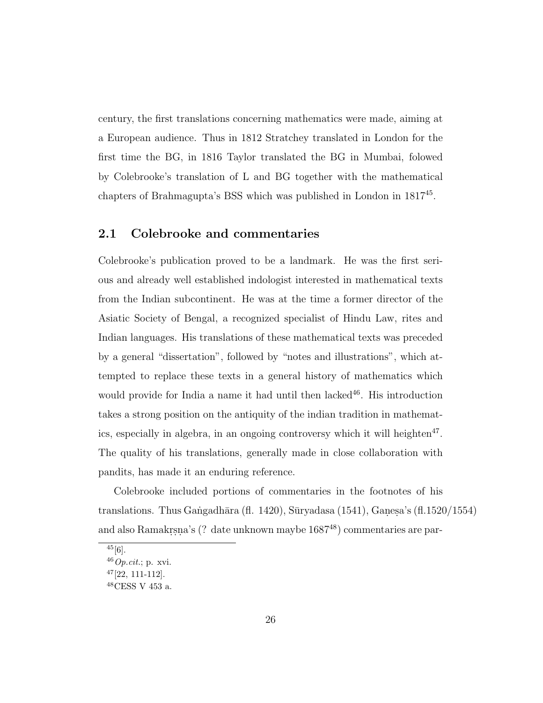century, the first translations concerning mathematics were made, aiming at a European audience. Thus in 1812 Stratchey translated in London for the first time the BG, in 1816 Taylor translated the BG in Mumbai, folowed by Colebrooke's translation of L and BG together with the mathematical chapters of Brahmagupta's BSS which was published in London in 1817<sup>45</sup> .

#### 2.1 Colebrooke and commentaries

Colebrooke's publication proved to be a landmark. He was the first serious and already well established indologist interested in mathematical texts from the Indian subcontinent. He was at the time a former director of the Asiatic Society of Bengal, a recognized specialist of Hindu Law, rites and Indian languages. His translations of these mathematical texts was preceded by a general "dissertation", followed by "notes and illustrations", which attempted to replace these texts in a general history of mathematics which would provide for India a name it had until then lacked $46$ . His introduction takes a strong position on the antiquity of the indian tradition in mathematics, especially in algebra, in an ongoing controversy which it will heighten<sup>47</sup>. The quality of his translations, generally made in close collaboration with pandits, has made it an enduring reference.

Colebrooke included portions of commentaries in the footnotes of his translations. Thus Gangadhāra (fl. 1420), Sūryadasa (1541), Ganesa's (fl.1520/1554) and also Ramakrṣṇa's (? date unknown maybe  $1687^{48}$ ) commentaries are par-

 $45[6]$ .

 $46$  Op.cit.; p. xvi.

 $47$ [22, 111-112].

 $^{48}\rm{CESS}$ V 453 a.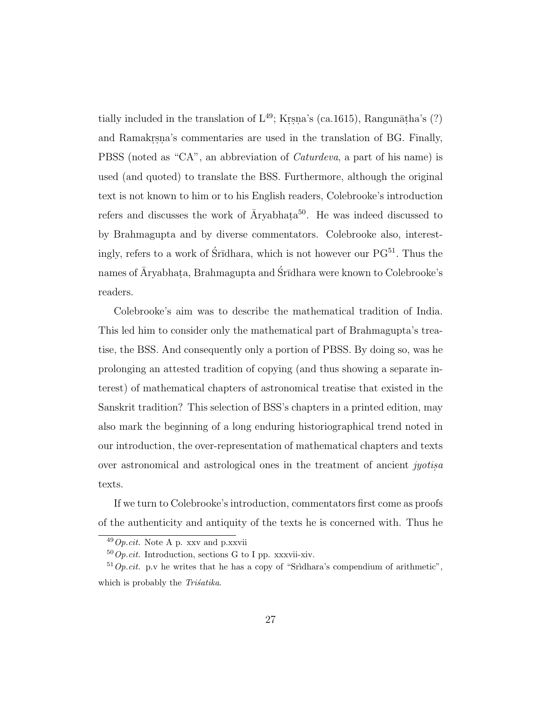tially included in the translation of  $\mathcal{L}^{49}$ ; Krsna's (ca.1615), Rangunāṭha's (?) and Ramakr, s.n. commentaries are used in the translation of BG. Finally, PBSS (noted as "CA", an abbreviation of *Caturdeva*, a part of his name) is used (and quoted) to translate the BSS. Furthermore, although the original text is not known to him or to his English readers, Colebrooke's introduction refers and discusses the work of  $\bar{A}$ ryabhata<sup>50</sup>. He was indeed discussed to by Brahmagupta and by diverse commentators. Colebrooke also, interestingly, refers to a work of Śrīdhara, which is not however our  $PG<sup>51</sup>$ . Thus the names of Āryabhaṭa, Brahmagupta and Śrīdhara were known to Colebrooke's readers.

Colebrooke's aim was to describe the mathematical tradition of India. This led him to consider only the mathematical part of Brahmagupta's treatise, the BSS. And consequently only a portion of PBSS. By doing so, was he prolonging an attested tradition of copying (and thus showing a separate interest) of mathematical chapters of astronomical treatise that existed in the Sanskrit tradition? This selection of BSS's chapters in a printed edition, may also mark the beginning of a long enduring historiographical trend noted in our introduction, the over-representation of mathematical chapters and texts over astronomical and astrological ones in the treatment of ancient *jyotis.a* texts.

If we turn to Colebrooke's introduction, commentators first come as proofs of the authenticity and antiquity of the texts he is concerned with. Thus he

 $^{49}Op.cit.$  Note A p. xxv and p.xxvii

 $50$  Op.cit. Introduction, sections G to I pp. xxxvii-xiv.

 $51$  Op.cit. p.v he writes that he has a copy of "Sridhara's compendium of arithmetic", which is probably the *Trisatika*.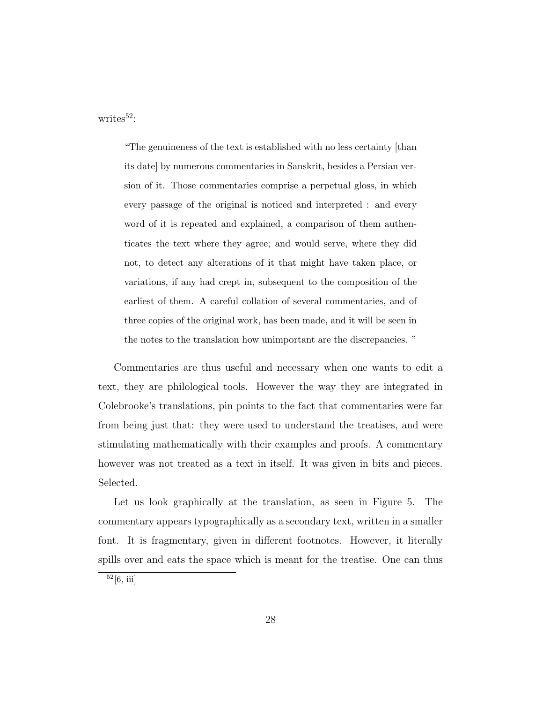writes $52$ :

"The genuineness of the text is established with no less certainty [than its date] by numerous commentaries in Sanskrit, besides a Persian version of it. Those commentaries comprise a perpetual gloss, in which every passage of the original is noticed and interpreted : and every word of it is repeated and explained, a comparison of them authenticates the text where they agree; and would serve, where they did not, to detect any alterations of it that might have taken place, or variations, if any had crept in, subsequent to the composition of the earliest of them. A careful collation of several commentaries, and of three copies of the original work, has been made, and it will be seen in the notes to the translation how unimportant are the discrepancies. "

Commentaries are thus useful and necessary when one wants to edit a text, they are philological tools. However the way they are integrated in Colebrooke's translations, pin points to the fact that commentaries were far from being just that: they were used to understand the treatises, and were stimulating mathematically with their examples and proofs. A commentary however was not treated as a text in itself. It was given in bits and pieces. Selected.

Let us look graphically at the translation, as seen in Figure 5. The commentary appears typographically as a secondary text, written in a smaller font. It is fragmentary, given in different footnotes. However, it literally spills over and eats the space which is meant for the treatise. One can thus

 $52[6, 11]$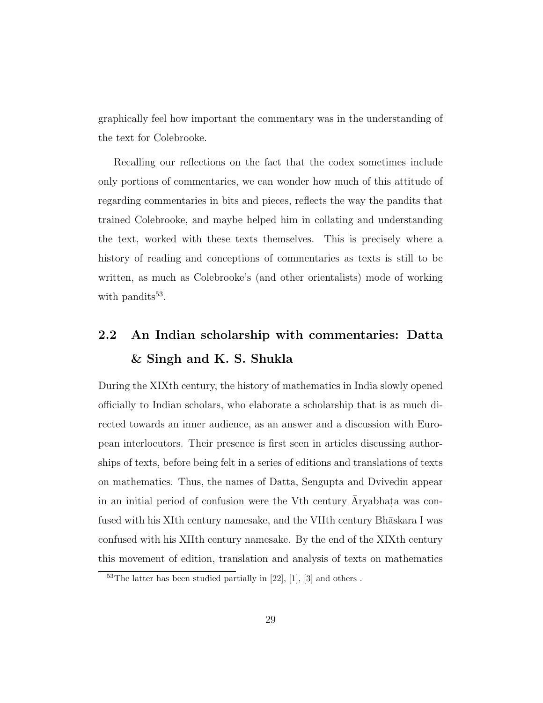graphically feel how important the commentary was in the understanding of the text for Colebrooke.

Recalling our reflections on the fact that the codex sometimes include only portions of commentaries, we can wonder how much of this attitude of regarding commentaries in bits and pieces, reflects the way the pandits that trained Colebrooke, and maybe helped him in collating and understanding the text, worked with these texts themselves. This is precisely where a history of reading and conceptions of commentaries as texts is still to be written, as much as Colebrooke's (and other orientalists) mode of working with pandits<sup>53</sup>.

### 2.2 An Indian scholarship with commentaries: Datta & Singh and K. S. Shukla

During the XIXth century, the history of mathematics in India slowly opened officially to Indian scholars, who elaborate a scholarship that is as much directed towards an inner audience, as an answer and a discussion with European interlocutors. Their presence is first seen in articles discussing authorships of texts, before being felt in a series of editions and translations of texts on mathematics. Thus, the names of Datta, Sengupta and Dvivedin appear in an initial period of confusion were the V<sup>th</sup> century  $\bar{A}$ ryabhata was confused with his XIth century namesake, and the VIIth century Bhaskara I was confused with his XIIth century namesake. By the end of the XIXth century this movement of edition, translation and analysis of texts on mathematics

 $53$ The latter has been studied partially in [22], [1], [3] and others.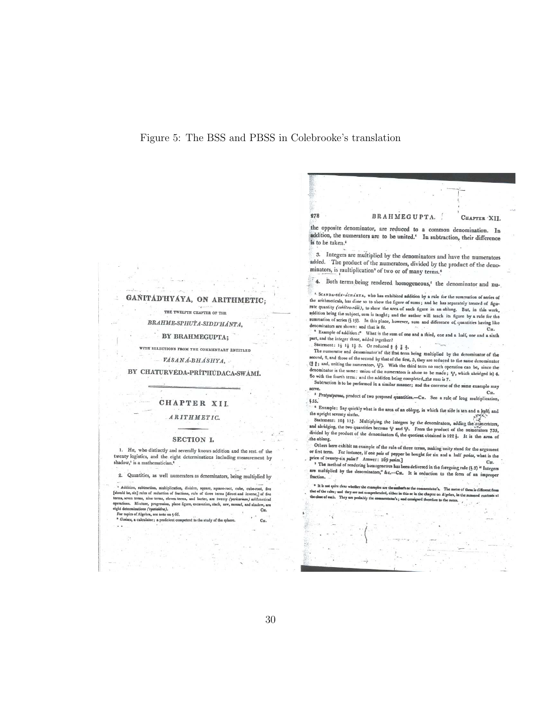#### Figure 5: The BSS and PBSS in Colebrooke's translation

 $278$ 

#### GANITÁD'HYAYA, ON ARITHMETIC;

THE TWELFTH CHAPTER OF THE

BRAHME-SPHUTA-SIDD'HÁNTA,

BY BRAHMEGUPTA:

WITH SELECTIONS FROM THE COMMENTARY ENTITLED

VÁSANÁ-BHÁSHYA,

BY CHATURVEDA-PRÍTHUDACA-SWAMI.

#### CHAPTER XII.

#### **ARITHMETIC.**

#### SECTION I.

1. HE, who distinctly and severally knows addition and the rest of the twenty logistics, and the eight determinations including measurement by shadow,<sup>1</sup> is a mathematician.<sup>6</sup>

2. Quantities, as well numerators as denominators, being multiplied by

<sup>4</sup> Addition, subtraction, multiplication, division, square, square-root, cube, cube-root, free [should be, six] rules of reduction of fractions, rule of three terms [direct and inverse) of free terms, seen terms, electro For topics of Algebra, see note on 4 66.

 $^*$  Ga a, a calculator; a proficient competent to the study of the sphere.

#### BRAHMEGUPTA. CHAPTER XII.

the opposite denominator, are reduced to a common denomination. In addition, the numerators are to be united.' In subtraction, their difference is to be taken.<sup>e</sup>

3. Integers are multiplied by the denominators and have the numerators added. The product of the numerators, divided by the product of the denominators, is multiplication' of two or of many terms.<sup>4</sup>

4. Both terms being rendered homogeneous,' the denominator and nu-

<sup>1.</sup> SCANDA-SEK-ACHARTA, who has exhibited addition by a rule for the summation of series of the arithmeticals, has done so to show the figure of sum; and he has separately treated of figure rate quantity (cabiter-ridi), to show the area of such figure in an oblong. But, in this work, addition being the subject, sum is taught; and the author will teach its figure by a rule for the summation of series (§ 19). In this place, however, sum and difference of quantities having like<br>denominators are shown: and that is face, however, sum and difference of quantities having like denominators are shown: and that is fit.

enomination are snown: and that is fit.<br>\* Example of addition: \* What is the sum of one and a third, one and a half, one and a sixth<br>art, and the integer three, added together? part, and the integer three, added together?

Statement:  $1\frac{1}{2}$   $1\frac{1}{2}$   $1\frac{1}{2}$  3. Or reduced  $\frac{1}{2}$   $\frac{1}{2}$   $\frac{1}{2}$ .

The numerator and denominator of the first term being multiplied by the denominator of the<br>exond. 2, and these of the second intervals second, 2, and those of the term is term being multiplied by the denominator of the second, 2, and those of the second by that of the first, 3, they are reduced to the same denominator ( $\frac{1}{2}$  is and, uniting the numer  $(2)$  is and, uniting the numeratory  $y$  mat of the third term no such operation can be, since the<br>denominator is the same: union of the numeratory  $y$ . With the third term no such operation can be, since the minator is the same: union of the numerators is alone to be made;  $\frac{1}{6}$ , which abridged is) 4.<br>iii the fourth term: union of the numerators is alone to be made;  $\frac{1}{6}$ , which abridged is) 4. So with the fourth term: and the addition being completed, the sum is 7.

Subtraction is to be performed in a similar manner; and the converse of the same example may<br>Subtraction is to be performed in a similar manner; and the converse of the same example may v.v.<br>3 Pratyutpanna, product of two proposed quantities.—CH. See a rule of long multiplication,<br>55.

\$55.

\* Example: Say quickly what is the area of an oblong, in which the side is ten and a hulfs and the upright seventy sixths.

the upright screaty states. Surface of an obloge, in which the side is ten and a helpful screaty states.<br>Statement: 10+ 11\$. Multiplying the integers by the denominators, adding the integers and abridging, the two quantit the oblong.

Others here exhibit an example of the rule of three terms, making unity stand for the argument or first term. For instance, if one put out rule of three terms, making unity stand for the argument<br>price of twenty-six palare, if one pala of pepper be bought for six and a half paias, what is the price of twenty-six palas? Answer: 169 panas.] CH.

The method of rendering homogeneous has been delivered in the foregoing rule (§ 3) "Integers<br>are multiplied by the denominators," &c.—Cu. It is reduction to the form of an improper<br>fraction.

<sup>\*</sup> It is not quite clear whether the exa entator's. The metre of them is different r's or the com that of the rales; and they are not compreher<br>the close of each. They are probably the con hended, either in this or in the chapter on Algebra, in the summed con ter's; and consign re to the notes.

CH.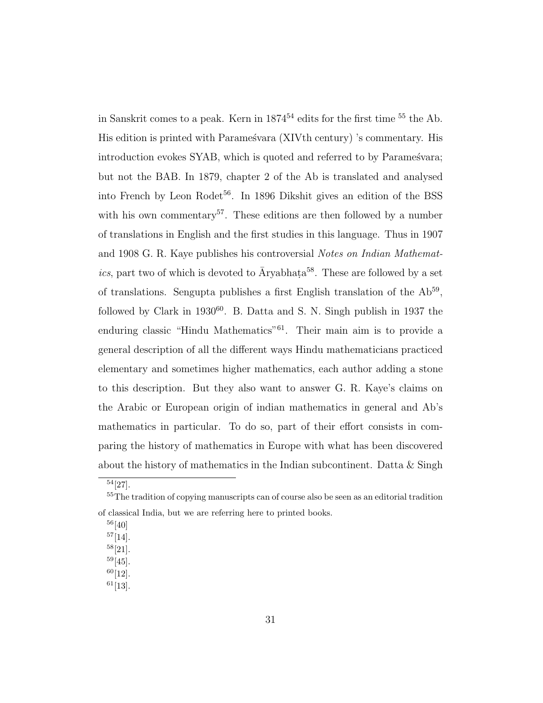in Sanskrit comes to a peak. Kern in  $1874^{54}$  edits for the first time  $^{55}$  the Ab. His edition is printed with Paramestara (XIVth century) 's commentary. His introduction evokes SYAB, which is quoted and referred to by Paramestra; but not the BAB. In 1879, chapter 2 of the Ab is translated and analysed into French by Leon Rodet<sup>56</sup>. In 1896 Dikshit gives an edition of the BSS with his own commentary<sup>57</sup>. These editions are then followed by a number of translations in English and the first studies in this language. Thus in 1907 and 1908 G. R. Kaye publishes his controversial *Notes on Indian Mathematics*, part two of which is devoted to  $\bar{A}$ ryabhata<sup>58</sup>. These are followed by a set of translations. Sengupta publishes a first English translation of the  $Ab^{59}$ , followed by Clark in  $1930^{60}$ . B. Datta and S. N. Singh publish in 1937 the enduring classic "Hindu Mathematics"<sup>61</sup>. Their main aim is to provide a general description of all the different ways Hindu mathematicians practiced elementary and sometimes higher mathematics, each author adding a stone to this description. But they also want to answer G. R. Kaye's claims on the Arabic or European origin of indian mathematics in general and Ab's mathematics in particular. To do so, part of their effort consists in comparing the history of mathematics in Europe with what has been discovered about the history of mathematics in the Indian subcontinent. Datta  $&$  Singh

 $60[12]$ .

<sup>54</sup>[27].

<sup>&</sup>lt;sup>55</sup>The tradition of copying manuscripts can of course also be seen as an editorial tradition of classical India, but we are referring here to printed books.

 $^{56}[40]$ 

 $57[14]$ .

<sup>58</sup>[21].

 $59[45]$ .

 $61$ [13].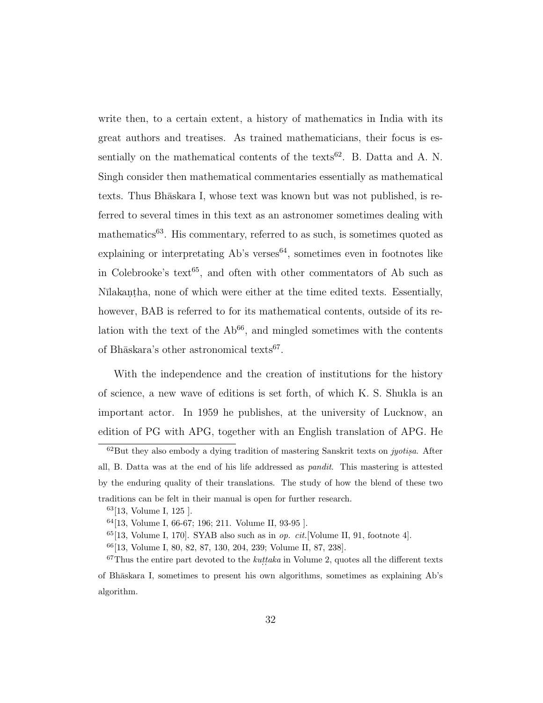write then, to a certain extent, a history of mathematics in India with its great authors and treatises. As trained mathematicians, their focus is essentially on the mathematical contents of the texts<sup>62</sup>. B. Datta and A. N. Singh consider then mathematical commentaries essentially as mathematical texts. Thus Bh $\bar{a}$ skara I, whose text was known but was not published, is referred to several times in this text as an astronomer sometimes dealing with mathematics<sup>63</sup>. His commentary, referred to as such, is sometimes quoted as explaining or interpretating  $Ab$ 's verses<sup>64</sup>, sometimes even in footnotes like in Colebrooke's text<sup>65</sup>, and often with other commentators of Ab such as Nīlakanṭha, none of which were either at the time edited texts. Essentially, however, BAB is referred to for its mathematical contents, outside of its relation with the text of the  $Ab<sup>66</sup>$ , and mingled sometimes with the contents of Bhāskara's other astronomical texts<sup>67</sup>.

With the independence and the creation of institutions for the history of science, a new wave of editions is set forth, of which K. S. Shukla is an important actor. In 1959 he publishes, at the university of Lucknow, an edition of PG with APG, together with an English translation of APG. He

 $62$ But they also embody a dying tradition of mastering Sanskrit texts on *jyotisa*. After all, B. Datta was at the end of his life addressed as pandit. This mastering is attested by the enduring quality of their translations. The study of how the blend of these two traditions can be felt in their manual is open for further research.

<sup>63</sup>[13, Volume I, 125 ].

<sup>64</sup>[13, Volume I, 66-67; 196; 211. Volume II, 93-95 ].

 $65[13, Volume I, 170]$ . SYAB also such as in *op. cit.*[Volume II, 91, footnote 4].

<sup>66</sup>[13, Volume I, 80, 82, 87, 130, 204, 239; Volume II, 87, 238].

 $67$ Thus the entire part devoted to the *kuttaka* in Volume 2, quotes all the different texts of Bh¯askara I, sometimes to present his own algorithms, sometimes as explaining Ab's algorithm.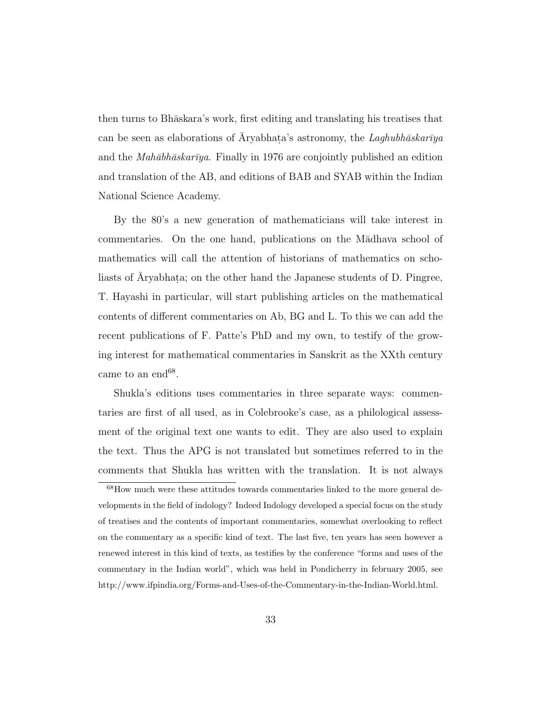then turns to Bh¯askara's work, first editing and translating his treatises that can be seen as elaborations of  $\bar{A}$ ryabhata's astronomy, the *Laghubhāskarīya* and the *Mah¯abh¯askar¯ıya*. Finally in 1976 are conjointly published an edition and translation of the AB, and editions of BAB and SYAB within the Indian National Science Academy.

By the 80's a new generation of mathematicians will take interest in commentaries. On the one hand, publications on the M $\bar{a}$ dhava school of mathematics will call the attention of historians of mathematics on scholiasts of Āryabhaṭa; on the other hand the Japanese students of D. Pingree, T. Hayashi in particular, will start publishing articles on the mathematical contents of different commentaries on Ab, BG and L. To this we can add the recent publications of F. Patte's PhD and my own, to testify of the growing interest for mathematical commentaries in Sanskrit as the XXth century came to an end<sup>68</sup>.

Shukla's editions uses commentaries in three separate ways: commentaries are first of all used, as in Colebrooke's case, as a philological assessment of the original text one wants to edit. They are also used to explain the text. Thus the APG is not translated but sometimes referred to in the comments that Shukla has written with the translation. It is not always

<sup>68</sup>How much were these attitudes towards commentaries linked to the more general developments in the field of indology? Indeed Indology developed a special focus on the study of treatises and the contents of important commentaries, somewhat overlooking to reflect on the commentary as a specific kind of text. The last five, ten years has seen however a renewed interest in this kind of texts, as testifies by the conference "forms and uses of the commentary in the Indian world", which was held in Pondicherry in february 2005, see http://www.ifpindia.org/Forms-and-Uses-of-the-Commentary-in-the-Indian-World.html.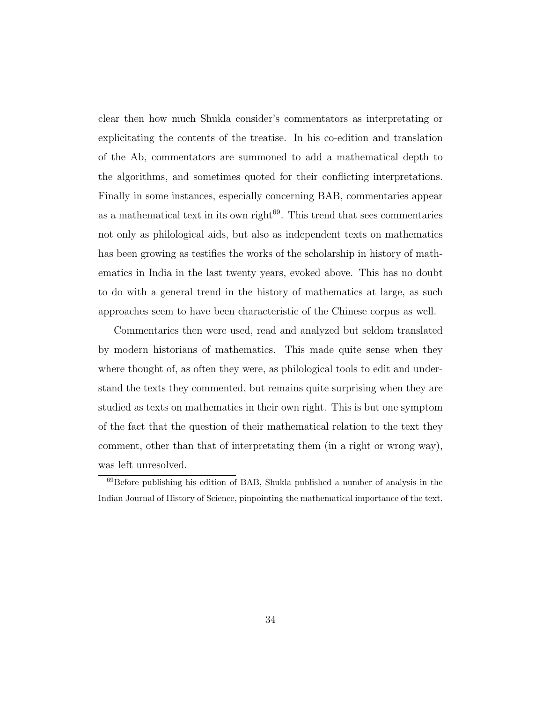clear then how much Shukla consider's commentators as interpretating or explicitating the contents of the treatise. In his co-edition and translation of the Ab, commentators are summoned to add a mathematical depth to the algorithms, and sometimes quoted for their conflicting interpretations. Finally in some instances, especially concerning BAB, commentaries appear as a mathematical text in its own right $69$ . This trend that sees commentaries not only as philological aids, but also as independent texts on mathematics has been growing as testifies the works of the scholarship in history of mathematics in India in the last twenty years, evoked above. This has no doubt to do with a general trend in the history of mathematics at large, as such approaches seem to have been characteristic of the Chinese corpus as well.

Commentaries then were used, read and analyzed but seldom translated by modern historians of mathematics. This made quite sense when they where thought of, as often they were, as philological tools to edit and understand the texts they commented, but remains quite surprising when they are studied as texts on mathematics in their own right. This is but one symptom of the fact that the question of their mathematical relation to the text they comment, other than that of interpretating them (in a right or wrong way), was left unresolved.

<sup>69</sup>Before publishing his edition of BAB, Shukla published a number of analysis in the Indian Journal of History of Science, pinpointing the mathematical importance of the text.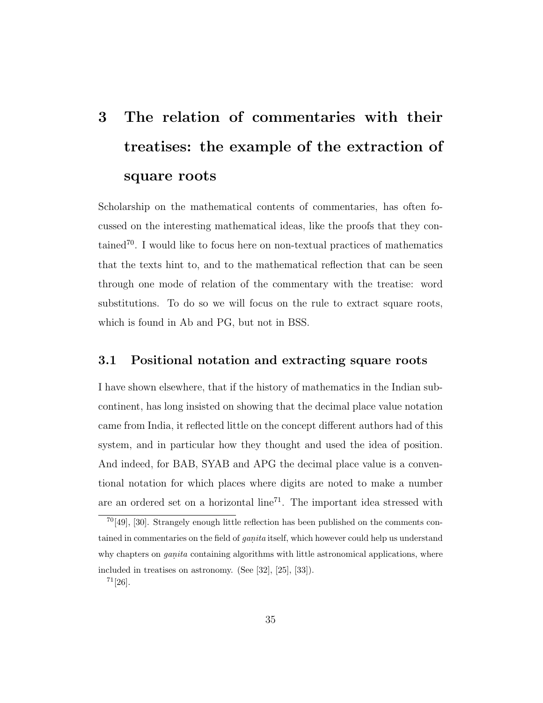# 3 The relation of commentaries with their treatises: the example of the extraction of square roots

Scholarship on the mathematical contents of commentaries, has often focussed on the interesting mathematical ideas, like the proofs that they contained<sup>70</sup>. I would like to focus here on non-textual practices of mathematics that the texts hint to, and to the mathematical reflection that can be seen through one mode of relation of the commentary with the treatise: word substitutions. To do so we will focus on the rule to extract square roots, which is found in Ab and PG, but not in BSS.

#### 3.1 Positional notation and extracting square roots

I have shown elsewhere, that if the history of mathematics in the Indian subcontinent, has long insisted on showing that the decimal place value notation came from India, it reflected little on the concept different authors had of this system, and in particular how they thought and used the idea of position. And indeed, for BAB, SYAB and APG the decimal place value is a conventional notation for which places where digits are noted to make a number are an ordered set on a horizontal line<sup>71</sup>. The important idea stressed with

<sup>70</sup>[49], [30]. Strangely enough little reflection has been published on the comments contained in commentaries on the field of  $ganita$  itself, which however could help us understand why chapters on  $ganita$  containing algorithms with little astronomical applications, where included in treatises on astronomy. (See [32], [25], [33]).

 $71[26]$ .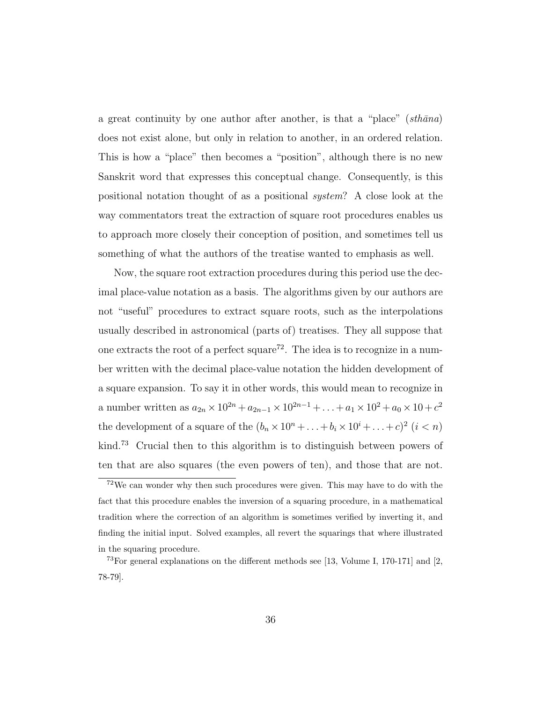a great continuity by one author after another, is that a "place"  $(\textit{sthāna})$ does not exist alone, but only in relation to another, in an ordered relation. This is how a "place" then becomes a "position", although there is no new Sanskrit word that expresses this conceptual change. Consequently, is this positional notation thought of as a positional *system*? A close look at the way commentators treat the extraction of square root procedures enables us to approach more closely their conception of position, and sometimes tell us something of what the authors of the treatise wanted to emphasis as well.

Now, the square root extraction procedures during this period use the decimal place-value notation as a basis. The algorithms given by our authors are not "useful" procedures to extract square roots, such as the interpolations usually described in astronomical (parts of) treatises. They all suppose that one extracts the root of a perfect square<sup>72</sup>. The idea is to recognize in a number written with the decimal place-value notation the hidden development of a square expansion. To say it in other words, this would mean to recognize in a number written as  $a_{2n} \times 10^{2n} + a_{2n-1} \times 10^{2n-1} + ... + a_1 \times 10^2 + a_0 \times 10 + c^2$ the development of a square of the  $(b_n \times 10^n + ... + b_i \times 10^i + ... + c)^2$   $(i < n)$ kind.<sup>73</sup> Crucial then to this algorithm is to distinguish between powers of ten that are also squares (the even powers of ten), and those that are not.

<sup>72</sup>We can wonder why then such procedures were given. This may have to do with the fact that this procedure enables the inversion of a squaring procedure, in a mathematical tradition where the correction of an algorithm is sometimes verified by inverting it, and finding the initial input. Solved examples, all revert the squarings that where illustrated in the squaring procedure.

<sup>&</sup>lt;sup>73</sup>For general explanations on the different methods see [13, Volume I, 170-171] and [2, 78-79].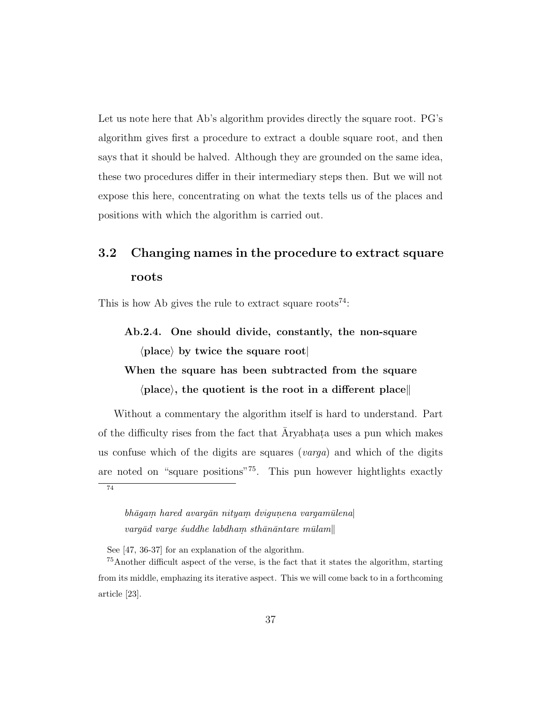Let us note here that Ab's algorithm provides directly the square root. PG's algorithm gives first a procedure to extract a double square root, and then says that it should be halved. Although they are grounded on the same idea, these two procedures differ in their intermediary steps then. But we will not expose this here, concentrating on what the texts tells us of the places and positions with which the algorithm is carried out.

## 3.2 Changing names in the procedure to extract square roots

This is how Ab gives the rule to extract square roots<sup>74</sup>:

### Ab.2.4. One should divide, constantly, the non-square  $\langle$  place $\rangle$  by twice the square root

### When the square has been subtracted from the square  $\langle$  place $\rangle$ , the quotient is the root in a different place

Without a commentary the algorithm itself is hard to understand. Part of the difficulty rises from the fact that  $\bar{A}$ ryabhata uses a pun which makes us confuse which of the digits are squares (*varga*) and which of the digits are noted on "square positions"<sup>75</sup>. This pun however hightlights exactly 74

 $bh\bar{a}gam \; hard \; avarg\bar{a}n \; nityam \; dvigunena \; vargam\bar{u}lena$  $\emph{vargād varge suddhe labdham sthānāntare mūlam} \|$ 

See [47, 36-37] for an explanation of the algorithm.

<sup>75</sup>Another difficult aspect of the verse, is the fact that it states the algorithm, starting from its middle, emphazing its iterative aspect. This we will come back to in a forthcoming article [23].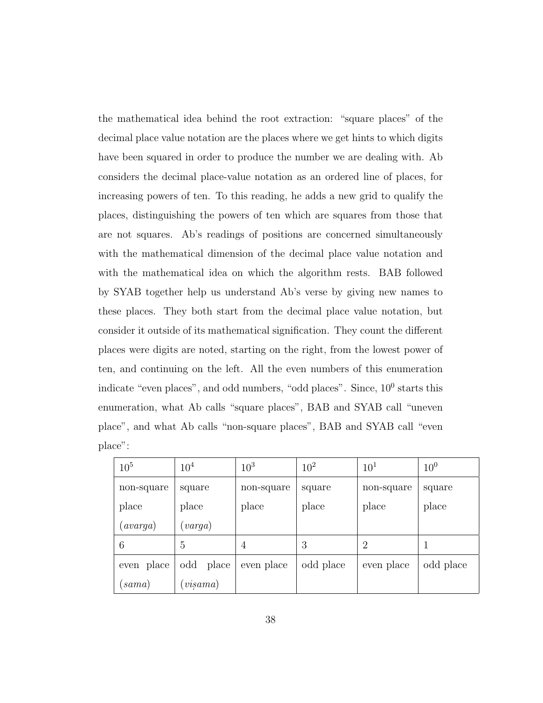the mathematical idea behind the root extraction: "square places" of the decimal place value notation are the places where we get hints to which digits have been squared in order to produce the number we are dealing with. Ab considers the decimal place-value notation as an ordered line of places, for increasing powers of ten. To this reading, he adds a new grid to qualify the places, distinguishing the powers of ten which are squares from those that are not squares. Ab's readings of positions are concerned simultaneously with the mathematical dimension of the decimal place value notation and with the mathematical idea on which the algorithm rests. BAB followed by SYAB together help us understand Ab's verse by giving new names to these places. They both start from the decimal place value notation, but consider it outside of its mathematical signification. They count the different places were digits are noted, starting on the right, from the lowest power of ten, and continuing on the left. All the even numbers of this enumeration indicate "even places", and odd numbers, "odd places". Since,  $10^0$  starts this enumeration, what Ab calls "square places", BAB and SYAB call "uneven place", and what Ab calls "non-square places", BAB and SYAB call "even place":

| 10 <sup>5</sup>     | $10^{4}$                      | $10^{3}$       | $10^{2}$  | 10 <sup>1</sup> | $10^{0}$  |
|---------------------|-------------------------------|----------------|-----------|-----------------|-----------|
| non-square          | square                        | non-square     | square    | non-square      | square    |
| place               | place                         | place          | place     | place           | place     |
| $(\textit{avarga})$ | $(\mathit{varga})$            |                |           |                 |           |
| 6                   | 5                             | $\overline{4}$ | 3         | $\overline{2}$  |           |
| even place          | place<br>odd                  | even place     | odd place | even place      | odd place |
| (sama)              | $\left( \emph{visama}\right)$ |                |           |                 |           |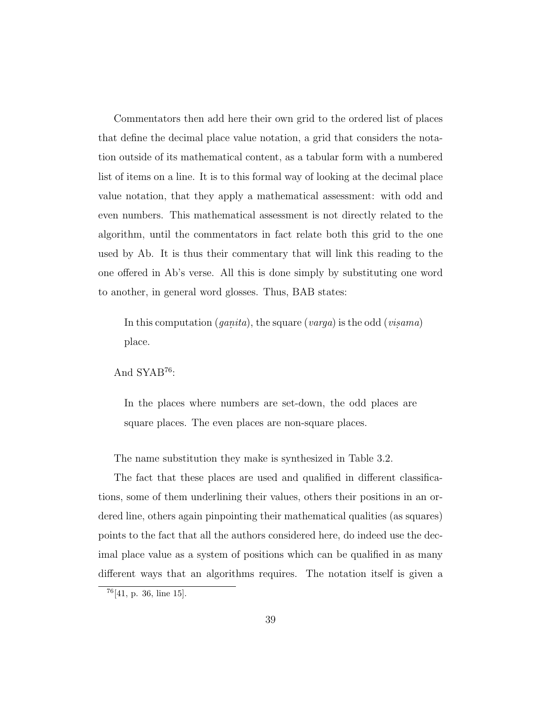Commentators then add here their own grid to the ordered list of places that define the decimal place value notation, a grid that considers the notation outside of its mathematical content, as a tabular form with a numbered list of items on a line. It is to this formal way of looking at the decimal place value notation, that they apply a mathematical assessment: with odd and even numbers. This mathematical assessment is not directly related to the algorithm, until the commentators in fact relate both this grid to the one used by Ab. It is thus their commentary that will link this reading to the one offered in Ab's verse. All this is done simply by substituting one word to another, in general word glosses. Thus, BAB states:

In this computation  $(ganita)$ , the square  $(varga)$  is the odd  $(visama)$ place.

And SYAB<sup>76</sup>:

In the places where numbers are set-down, the odd places are square places. The even places are non-square places.

The name substitution they make is synthesized in Table 3.2.

The fact that these places are used and qualified in different classifications, some of them underlining their values, others their positions in an ordered line, others again pinpointing their mathematical qualities (as squares) points to the fact that all the authors considered here, do indeed use the decimal place value as a system of positions which can be qualified in as many different ways that an algorithms requires. The notation itself is given a

<sup>76</sup>[41, p. 36, line 15].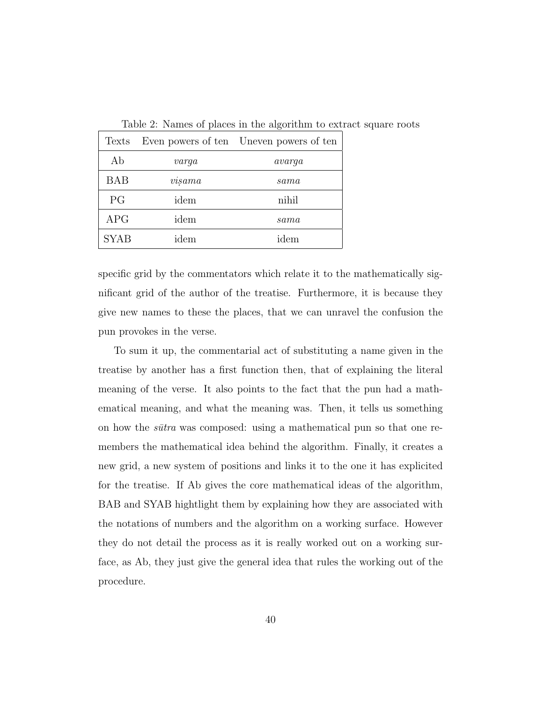| Texts       |             | Even powers of ten Uneven powers of ten |
|-------------|-------------|-----------------------------------------|
| Ab          | $\it varqa$ | avarqa                                  |
| <b>BAB</b>  | visama      | sama                                    |
| PG          | idem        | nihil                                   |
| <b>APG</b>  | idem        | sama                                    |
| <b>SYAB</b> | idem        | idem                                    |

Table 2: Names of places in the algorithm to extract square roots

specific grid by the commentators which relate it to the mathematically significant grid of the author of the treatise. Furthermore, it is because they give new names to these the places, that we can unravel the confusion the pun provokes in the verse.

To sum it up, the commentarial act of substituting a name given in the treatise by another has a first function then, that of explaining the literal meaning of the verse. It also points to the fact that the pun had a mathematical meaning, and what the meaning was. Then, it tells us something on how the *s¯utra* was composed: using a mathematical pun so that one remembers the mathematical idea behind the algorithm. Finally, it creates a new grid, a new system of positions and links it to the one it has explicited for the treatise. If Ab gives the core mathematical ideas of the algorithm, BAB and SYAB hightlight them by explaining how they are associated with the notations of numbers and the algorithm on a working surface. However they do not detail the process as it is really worked out on a working surface, as Ab, they just give the general idea that rules the working out of the procedure.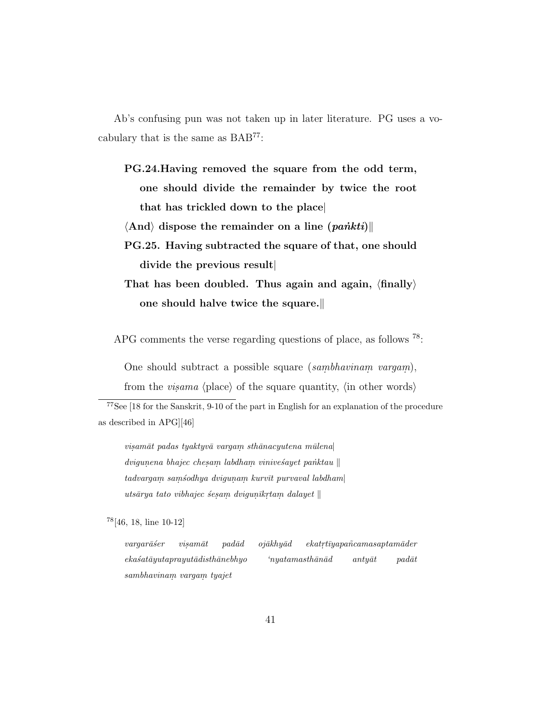Ab's confusing pun was not taken up in later literature. PG uses a vocabulary that is the same as BAB<sup>77</sup>:

PG.24.Having removed the square from the odd term, one should divide the remainder by twice the root that has trickled down to the place|  $\langle \text{And} \rangle$  dispose the remainder on a line  $\langle \text{paintti} \rangle$ PG.25. Having subtracted the square of that, one should divide the previous result| That has been doubled. Thus again and again,  $\langle \text{finally} \rangle$ one should halve twice the square.

APG comments the verse regarding questions of place, as follows <sup>78</sup>:

One should subtract a possible square (sambhavinam vargam),

from the *visama* (place) of the square quantity, (in other words)

 $visam\bar{a}t$  padas tyaktyv $\bar{a}$  varga $m$  sth $\bar{a}n$ acyutena m $\bar{u}$ lena $|$  $\emph{divigunena bhajec che sam labdham vinives'ayet paiktau}$  $t$ advargam sam $\acute{s}$ odhya dvigunam kurvī $t$  purvaval labdham $|$  $uts\bar{a}rya\ tato\ vibhajec\ sesam\ dvigun\bar{i}krtam\ dalayet\parallel$ 

<sup>78</sup>[46, 18, line 10-12]

 $varqar\bar{a}ser$  visam $\bar{a}t$  pad $\bar{a}d$  oj $\bar{a}khy\bar{a}d$  $ekatrt\bar{v}yapa\tilde{n}camasaptam\bar{a}der$  $eka's atāyutaprayutādishānebhyo nya tamashānād antyāt padāt$ sambhavinam. vargam. tyajet

<sup>77</sup>See [18 for the Sanskrit, 9-10 of the part in English for an explanation of the procedure as described in APG][46]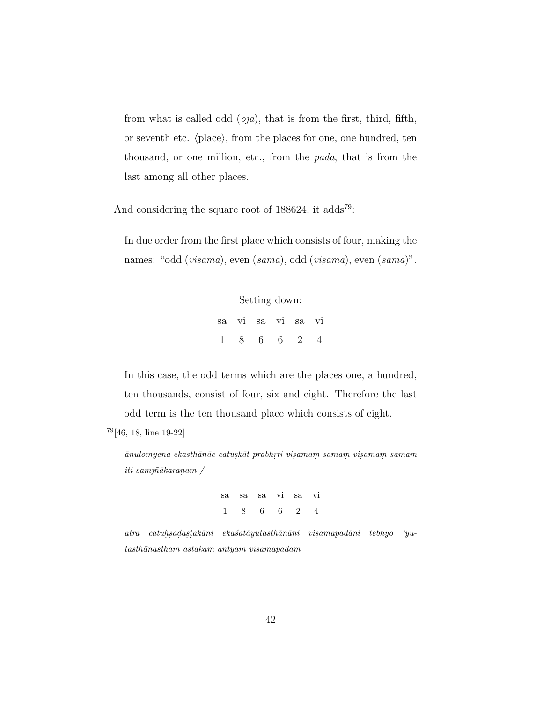from what is called odd (*oja*), that is from the first, third, fifth, or seventh etc.  $\langle place\rangle$ , from the places for one, one hundred, ten thousand, or one million, etc., from the *pada*, that is from the last among all other places.

And considering the square root of  $188624$ , it adds<sup>79</sup>:

In due order from the first place which consists of four, making the names: "odd (*visama*), even (*sama*), odd (*visama*), even (*sama*)".

> Setting down: sa vi sa vi sa vi 1 8 6 6 2 4

In this case, the odd terms which are the places one, a hundred, ten thousands, consist of four, six and eight. Therefore the last odd term is the ten thousand place which consists of eight.

 $\bar{a}$ nulomyena ekasth $\bar{a}$ n $\bar{a}c$  catusk $\bar{a}t$  prabhrti visamam samam visamam samam  $iti\ samj\~{n}\~{a}karanam$  /

> sa sa sa vi sa vi 1 8 6 6 2 4

 $\emph{atra} \quad catuh, sada, stakāni} \quad eksatāyutasthānāni} \quad visamapadāni} \quad tebhyo$  'yu $tash\bar{a}nastham.$  as $takam.$  antya $m.$  vis $amapadam$ 

<sup>79</sup>[46, 18, line 19-22]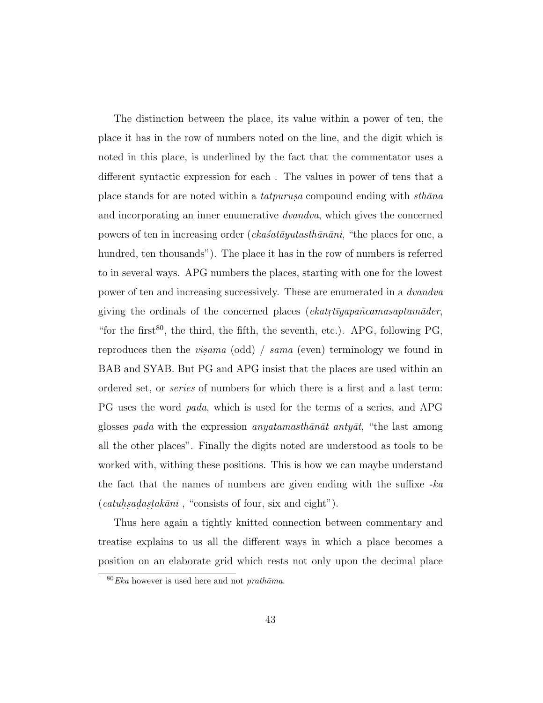The distinction between the place, its value within a power of ten, the place it has in the row of numbers noted on the line, and the digit which is noted in this place, is underlined by the fact that the commentator uses a different syntactic expression for each . The values in power of tens that a place stands for are noted within a *tatpurusa* compound ending with *sthana* and incorporating an inner enumerative *dvandva*, which gives the concerned powers of ten in increasing order (*eka´sat¯ayutasth¯an¯ani*, "the places for one, a hundred, ten thousands"). The place it has in the row of numbers is referred to in several ways. APG numbers the places, starting with one for the lowest power of ten and increasing successively. These are enumerated in a *dvandva* giving the ordinals of the concerned places (*ekatrtīyapañcamasaptamāder*, "for the first<sup>80</sup>, the third, the fifth, the seventh, etc.). APG, following PG, reproduces then the *visama* (odd) / *sama* (even) terminology we found in BAB and SYAB. But PG and APG insist that the places are used within an ordered set, or *series* of numbers for which there is a first and a last term: PG uses the word *pada*, which is used for the terms of a series, and APG glosses *pada* with the expression *anyatamasthanat antyat*, "the last among all the other places". Finally the digits noted are understood as tools to be worked with, withing these positions. This is how we can maybe understand the fact that the names of numbers are given ending with the suffixe *-ka* (*catuhsadastakāni*, "consists of four, six and eight").

Thus here again a tightly knitted connection between commentary and treatise explains to us all the different ways in which a place becomes a position on an elaborate grid which rests not only upon the decimal place

 $80 Eka$  however is used here and not *prathama*.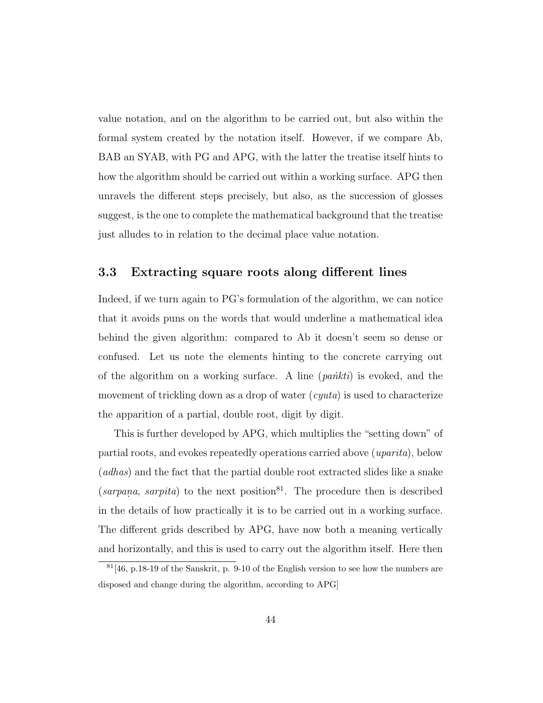value notation, and on the algorithm to be carried out, but also within the formal system created by the notation itself. However, if we compare Ab, BAB an SYAB, with PG and APG, with the latter the treatise itself hints to how the algorithm should be carried out within a working surface. APG then unravels the different steps precisely, but also, as the succession of glosses suggest, is the one to complete the mathematical background that the treatise just alludes to in relation to the decimal place value notation.

### 3.3 Extracting square roots along different lines

Indeed, if we turn again to PG's formulation of the algorithm, we can notice that it avoids puns on the words that would underline a mathematical idea behind the given algorithm: compared to Ab it doesn't seem so dense or confused. Let us note the elements hinting to the concrete carrying out of the algorithm on a working surface. A line (*pa ˙nkti*) is evoked, and the movement of trickling down as a drop of water (*cyuta*) is used to characterize the apparition of a partial, double root, digit by digit.

This is further developed by APG, which multiplies the "setting down" of partial roots, and evokes repeatedly operations carried above (*uparita*), below (*adhas*) and the fact that the partial double root extracted slides like a snake  $(sarpana, sarpita)$  to the next position<sup>81</sup>. The procedure then is described in the details of how practically it is to be carried out in a working surface. The different grids described by APG, have now both a meaning vertically and horizontally, and this is used to carry out the algorithm itself. Here then

 $81[46, p.18-19]$  of the Sanskrit, p. 9-10 of the English version to see how the numbers are disposed and change during the algorithm, according to APG]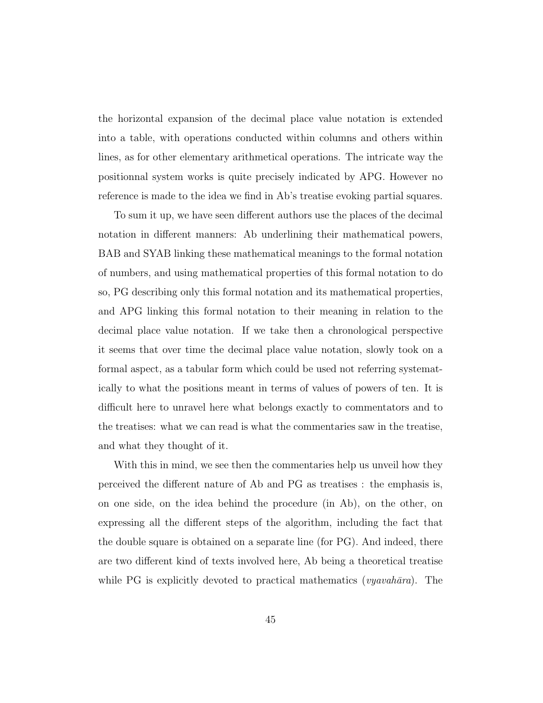the horizontal expansion of the decimal place value notation is extended into a table, with operations conducted within columns and others within lines, as for other elementary arithmetical operations. The intricate way the positionnal system works is quite precisely indicated by APG. However no reference is made to the idea we find in Ab's treatise evoking partial squares.

To sum it up, we have seen different authors use the places of the decimal notation in different manners: Ab underlining their mathematical powers, BAB and SYAB linking these mathematical meanings to the formal notation of numbers, and using mathematical properties of this formal notation to do so, PG describing only this formal notation and its mathematical properties, and APG linking this formal notation to their meaning in relation to the decimal place value notation. If we take then a chronological perspective it seems that over time the decimal place value notation, slowly took on a formal aspect, as a tabular form which could be used not referring systematically to what the positions meant in terms of values of powers of ten. It is difficult here to unravel here what belongs exactly to commentators and to the treatises: what we can read is what the commentaries saw in the treatise, and what they thought of it.

With this in mind, we see then the commentaries help us unveil how they perceived the different nature of Ab and PG as treatises : the emphasis is, on one side, on the idea behind the procedure (in Ab), on the other, on expressing all the different steps of the algorithm, including the fact that the double square is obtained on a separate line (for PG). And indeed, there are two different kind of texts involved here, Ab being a theoretical treatise while PG is explicitly devoted to practical mathematics (*vyavahāra*). The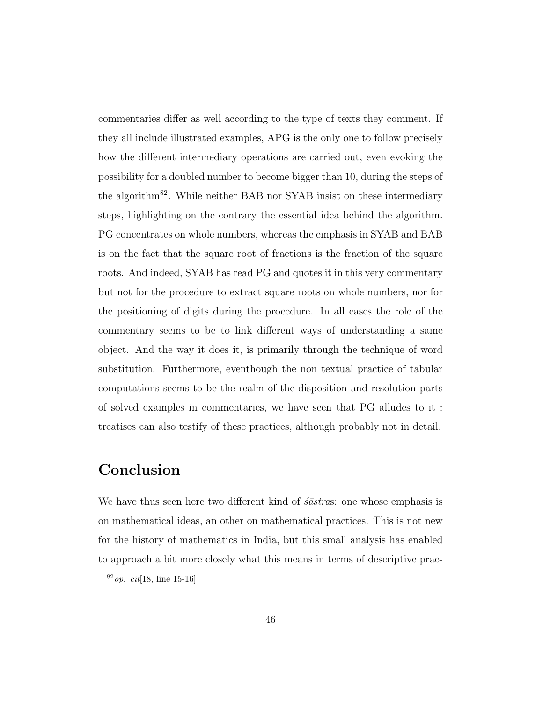commentaries differ as well according to the type of texts they comment. If they all include illustrated examples, APG is the only one to follow precisely how the different intermediary operations are carried out, even evoking the possibility for a doubled number to become bigger than 10, during the steps of the algorithm<sup>82</sup>. While neither BAB nor SYAB insist on these intermediary steps, highlighting on the contrary the essential idea behind the algorithm. PG concentrates on whole numbers, whereas the emphasis in SYAB and BAB is on the fact that the square root of fractions is the fraction of the square roots. And indeed, SYAB has read PG and quotes it in this very commentary but not for the procedure to extract square roots on whole numbers, nor for the positioning of digits during the procedure. In all cases the role of the commentary seems to be to link different ways of understanding a same object. And the way it does it, is primarily through the technique of word substitution. Furthermore, eventhough the non textual practice of tabular computations seems to be the realm of the disposition and resolution parts of solved examples in commentaries, we have seen that PG alludes to it : treatises can also testify of these practices, although probably not in detail.

### Conclusion

We have thus seen here two different kind of *schaticas*: one whose emphasis is on mathematical ideas, an other on mathematical practices. This is not new for the history of mathematics in India, but this small analysis has enabled to approach a bit more closely what this means in terms of descriptive prac-

 $82$  *op.* cit[18, line 15-16]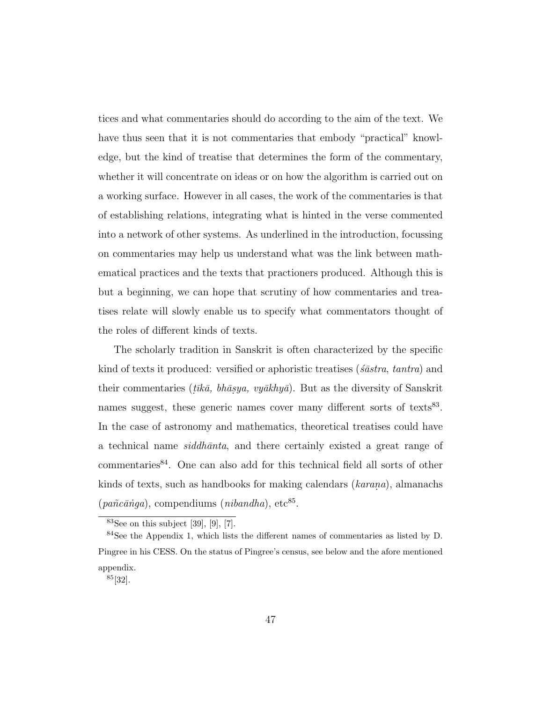tices and what commentaries should do according to the aim of the text. We have thus seen that it is not commentaries that embody "practical" knowledge, but the kind of treatise that determines the form of the commentary, whether it will concentrate on ideas or on how the algorithm is carried out on a working surface. However in all cases, the work of the commentaries is that of establishing relations, integrating what is hinted in the verse commented into a network of other systems. As underlined in the introduction, focussing on commentaries may help us understand what was the link between mathematical practices and the texts that practioners produced. Although this is but a beginning, we can hope that scrutiny of how commentaries and treatises relate will slowly enable us to specify what commentators thought of the roles of different kinds of texts.

The scholarly tradition in Sanskrit is often characterized by the specific kind of texts it produced: versified or aphoristic treatises (*´s¯astra*, *tantra*) and their commentaries ( $t\bar{u}\bar{k}\bar{a}$ ,  $b\bar{h}\bar{a}$ *saga, vy* $\bar{a}$ *khy* $\bar{a}$ ). But as the diversity of Sanskrit names suggest, these generic names cover many different sorts of texts<sup>83</sup>. In the case of astronomy and mathematics, theoretical treatises could have a technical name *siddh¯anta*, and there certainly existed a great range of commentaries<sup>84</sup>. One can also add for this technical field all sorts of other kinds of texts, such as handbooks for making calendars *(karana)*, almanachs (*pañcānga*), compendiums (*nibandha*), etc<sup>85</sup>.

 $83$ See on this subject [39], [9], [7].

<sup>84</sup>See the Appendix 1, which lists the different names of commentaries as listed by D. Pingree in his CESS. On the status of Pingree's census, see below and the afore mentioned appendix.

<sup>85</sup>[32].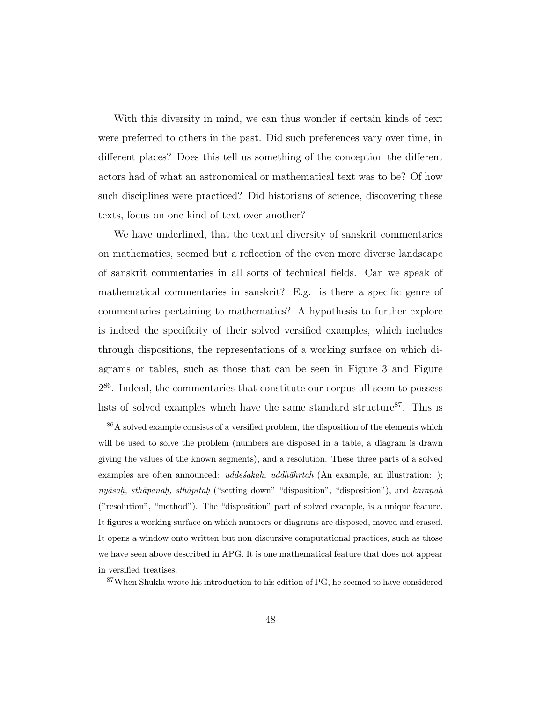With this diversity in mind, we can thus wonder if certain kinds of text were preferred to others in the past. Did such preferences vary over time, in different places? Does this tell us something of the conception the different actors had of what an astronomical or mathematical text was to be? Of how such disciplines were practiced? Did historians of science, discovering these texts, focus on one kind of text over another?

We have underlined, that the textual diversity of sanskrit commentaries on mathematics, seemed but a reflection of the even more diverse landscape of sanskrit commentaries in all sorts of technical fields. Can we speak of mathematical commentaries in sanskrit? E.g. is there a specific genre of commentaries pertaining to mathematics? A hypothesis to further explore is indeed the specificity of their solved versified examples, which includes through dispositions, the representations of a working surface on which diagrams or tables, such as those that can be seen in Figure 3 and Figure 2 <sup>86</sup>. Indeed, the commentaries that constitute our corpus all seem to possess lists of solved examples which have the same standard structure<sup>87</sup>. This is

<sup>&</sup>lt;sup>86</sup>A solved example consists of a versified problem, the disposition of the elements which will be used to solve the problem (numbers are disposed in a table, a diagram is drawn giving the values of the known segments), and a resolution. These three parts of a solved examples are often announced:  $udde\acute{s}akah$ ,  $uddh\bar{a}h\acute{r}tah$  (An example, an illustration: ); nyāsah, sthāpanah, sthāpitah ("setting down" "disposition", "disposition"), and karanah ("resolution", "method"). The "disposition" part of solved example, is a unique feature. It figures a working surface on which numbers or diagrams are disposed, moved and erased. It opens a window onto written but non discursive computational practices, such as those we have seen above described in APG. It is one mathematical feature that does not appear in versified treatises.

<sup>87</sup>When Shukla wrote his introduction to his edition of PG, he seemed to have considered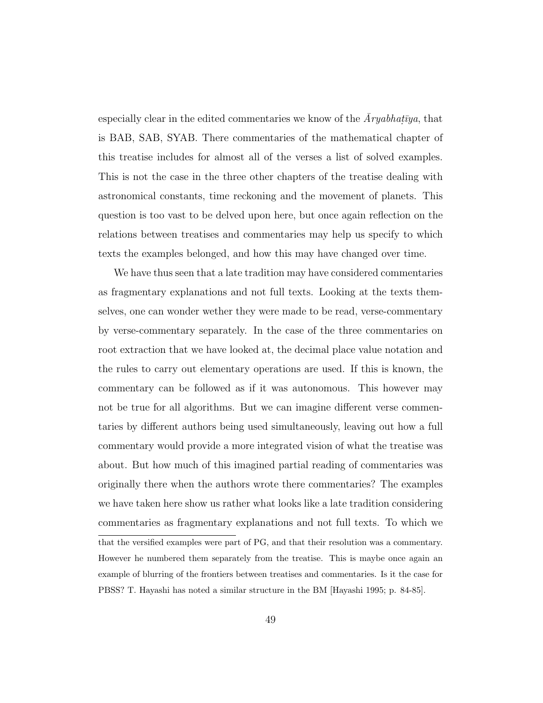especially clear in the edited commentaries we know of the  $\bar{A}ryabhat\bar{y}a$ , that is BAB, SAB, SYAB. There commentaries of the mathematical chapter of this treatise includes for almost all of the verses a list of solved examples. This is not the case in the three other chapters of the treatise dealing with astronomical constants, time reckoning and the movement of planets. This question is too vast to be delved upon here, but once again reflection on the relations between treatises and commentaries may help us specify to which texts the examples belonged, and how this may have changed over time.

We have thus seen that a late tradition may have considered commentaries as fragmentary explanations and not full texts. Looking at the texts themselves, one can wonder wether they were made to be read, verse-commentary by verse-commentary separately. In the case of the three commentaries on root extraction that we have looked at, the decimal place value notation and the rules to carry out elementary operations are used. If this is known, the commentary can be followed as if it was autonomous. This however may not be true for all algorithms. But we can imagine different verse commentaries by different authors being used simultaneously, leaving out how a full commentary would provide a more integrated vision of what the treatise was about. But how much of this imagined partial reading of commentaries was originally there when the authors wrote there commentaries? The examples we have taken here show us rather what looks like a late tradition considering commentaries as fragmentary explanations and not full texts. To which we that the versified examples were part of PG, and that their resolution was a commentary.

However he numbered them separately from the treatise. This is maybe once again an example of blurring of the frontiers between treatises and commentaries. Is it the case for PBSS? T. Hayashi has noted a similar structure in the BM [Hayashi 1995; p. 84-85].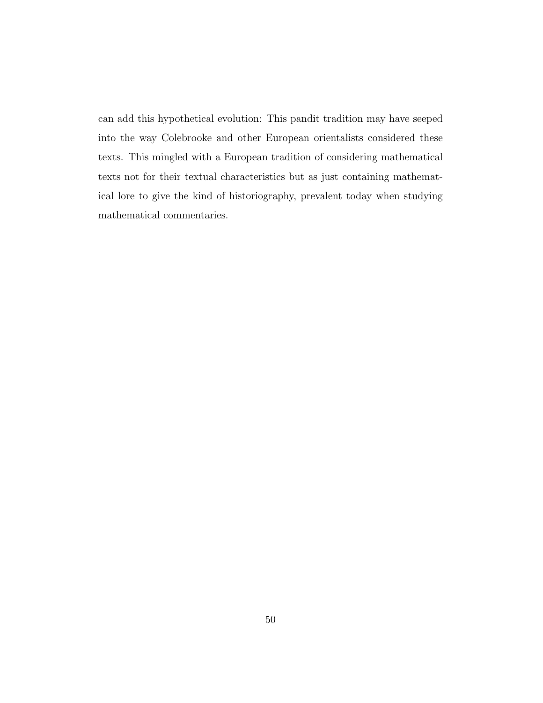can add this hypothetical evolution: This pandit tradition may have seeped into the way Colebrooke and other European orientalists considered these texts. This mingled with a European tradition of considering mathematical texts not for their textual characteristics but as just containing mathematical lore to give the kind of historiography, prevalent today when studying mathematical commentaries.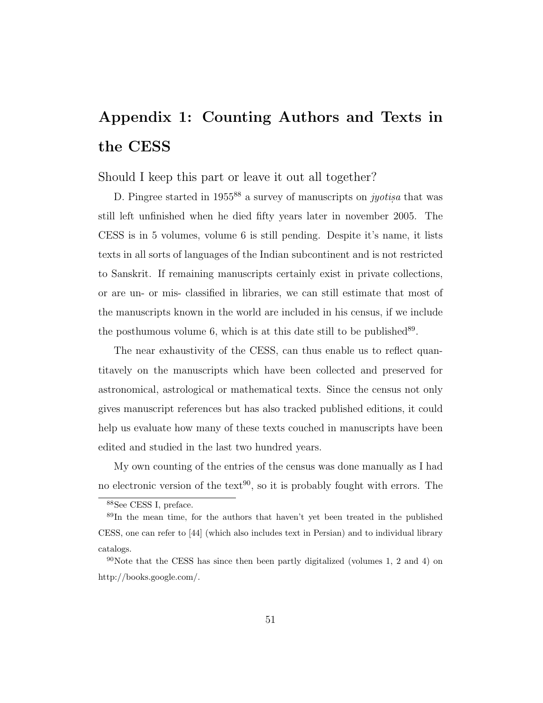# Appendix 1: Counting Authors and Texts in the CESS

Should I keep this part or leave it out all together?

D. Pingree started in 1955<sup>88</sup> a survey of manuscripts on *jyotisa* that was still left unfinished when he died fifty years later in november 2005. The CESS is in 5 volumes, volume 6 is still pending. Despite it's name, it lists texts in all sorts of languages of the Indian subcontinent and is not restricted to Sanskrit. If remaining manuscripts certainly exist in private collections, or are un- or mis- classified in libraries, we can still estimate that most of the manuscripts known in the world are included in his census, if we include the posthumous volume  $6$ , which is at this date still to be published<sup>89</sup>.

The near exhaustivity of the CESS, can thus enable us to reflect quantitavely on the manuscripts which have been collected and preserved for astronomical, astrological or mathematical texts. Since the census not only gives manuscript references but has also tracked published editions, it could help us evaluate how many of these texts couched in manuscripts have been edited and studied in the last two hundred years.

My own counting of the entries of the census was done manually as I had no electronic version of the text<sup>90</sup>, so it is probably fought with errors. The

<sup>88</sup>See CESS I, preface.

<sup>89</sup>In the mean time, for the authors that haven't yet been treated in the published CESS, one can refer to [44] (which also includes text in Persian) and to individual library catalogs.

 $90$ Note that the CESS has since then been partly digitalized (volumes 1, 2 and 4) on http://books.google.com/.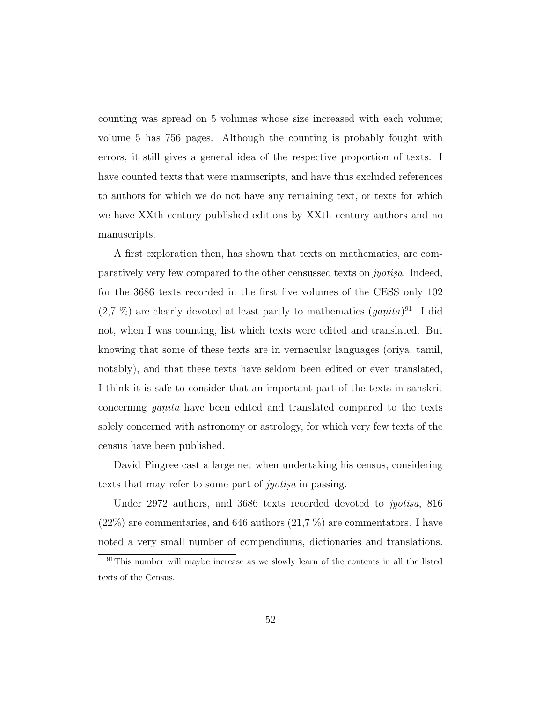counting was spread on 5 volumes whose size increased with each volume; volume 5 has 756 pages. Although the counting is probably fought with errors, it still gives a general idea of the respective proportion of texts. I have counted texts that were manuscripts, and have thus excluded references to authors for which we do not have any remaining text, or texts for which we have XXth century published editions by XXth century authors and no manuscripts.

A first exploration then, has shown that texts on mathematics, are comparatively very few compared to the other censussed texts on *jyotisa*. Indeed, for the 3686 texts recorded in the first five volumes of the CESS only 102  $(2.7 \%)$  are clearly devoted at least partly to mathematics  $(ganita)^{91}$ . I did not, when I was counting, list which texts were edited and translated. But knowing that some of these texts are in vernacular languages (oriya, tamil, notably), and that these texts have seldom been edited or even translated, I think it is safe to consider that an important part of the texts in sanskrit concerning *ganita* have been edited and translated compared to the texts solely concerned with astronomy or astrology, for which very few texts of the census have been published.

David Pingree cast a large net when undertaking his census, considering texts that may refer to some part of *jyotisa* in passing.

Under 2972 authors, and 3686 texts recorded devoted to *jyotis.a*, 816  $(22\%)$  are commentaries, and 646 authors  $(21.7\%)$  are commentators. I have noted a very small number of compendiums, dictionaries and translations.

 $91$ This number will maybe increase as we slowly learn of the contents in all the listed texts of the Census.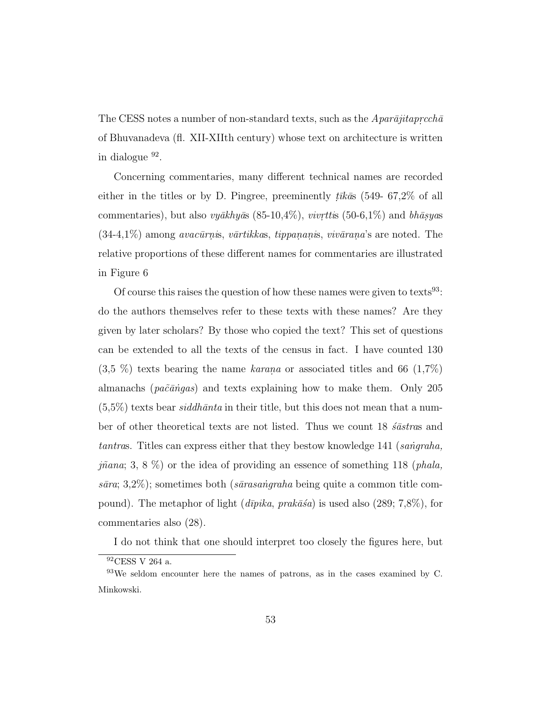The CESS notes a number of non-standard texts, such as the *Apar* $\bar{a}jitaprcch\bar{a}$ of Bhuvanadeva (fl. XII-XIIth century) whose text on architecture is written in dialogue <sup>92</sup>.

Concerning commentaries, many different technical names are recorded either in the titles or by D. Pingree, preeminently  $t\bar{u}\bar{k}\bar{a}$  (549- 67,2% of all commentaries), but also *vyākhyās* (85-10,4%), *vivrttis* (50-6,1%) and *bhāsyas*  $(34-4,1\%)$  among *avacūrnis*, *vārtikkas*, *tippananis*, *vivārana*'s are noted. The relative proportions of these different names for commentaries are illustrated in Figure 6

Of course this raises the question of how these names were given to texts<sup>93</sup>: do the authors themselves refer to these texts with these names? Are they given by later scholars? By those who copied the text? This set of questions can be extended to all the texts of the census in fact. I have counted 130  $(3.5\%)$  texts bearing the name *karana* or associated titles and 66  $(1.7\%)$ almanachs (*pa˜c¯a ˙ngas*) and texts explaining how to make them. Only 205  $(5.5\%)$  texts bear *siddh* $\bar{a}$ nta in their title, but this does not mean that a number of other theoretical texts are not listed. Thus we count 18 *s<sup>astras* and</sup> *tantras.* Titles can express either that they bestow knowledge 141 (*sangraha*, *j˜nana*; 3, 8 %) or the idea of providing an essence of something 118 (*phala, s¯ara*; 3,2%); sometimes both (*s¯arasa ˙ngraha* being quite a common title compound). The metaphor of light  $(d\bar{v}pika, prak\bar{a}\bar{s}a)$  is used also (289; 7,8%), for commentaries also (28).

I do not think that one should interpret too closely the figures here, but

 $^{92}\mathrm{CESS}$ V 264 a.

<sup>93</sup>We seldom encounter here the names of patrons, as in the cases examined by C. Minkowski.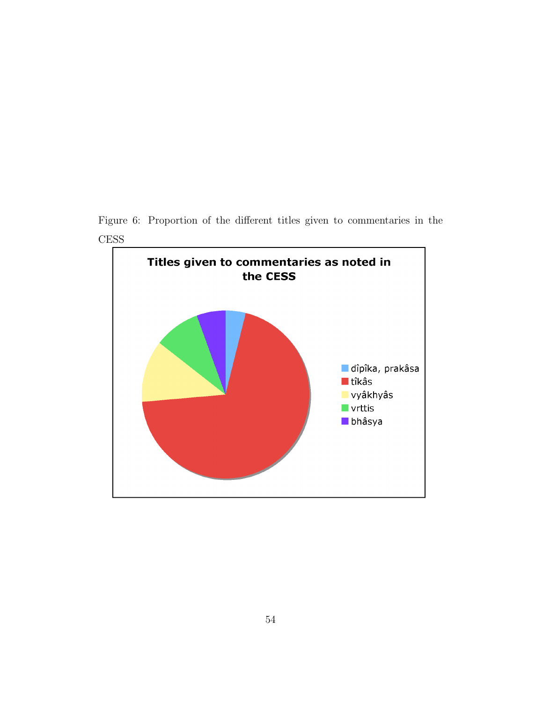Figure 6: Proportion of the different titles given to commentaries in the CESS

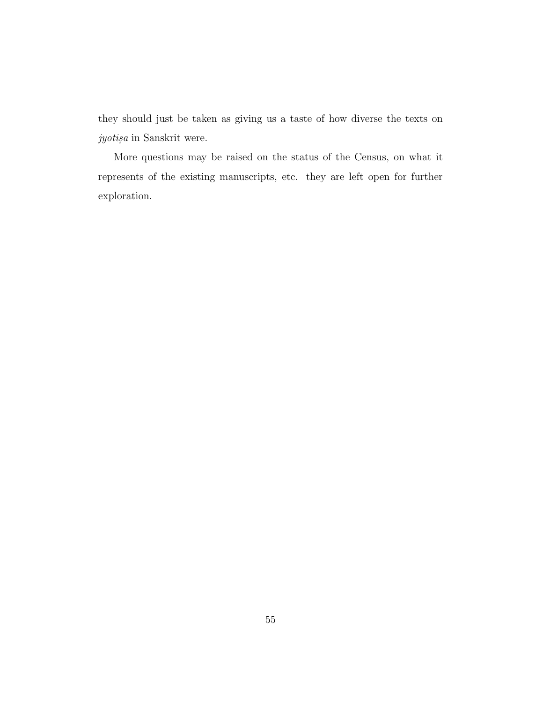they should just be taken as giving us a taste of how diverse the texts on *jyotisa* in Sanskrit were.

More questions may be raised on the status of the Census, on what it represents of the existing manuscripts, etc. they are left open for further exploration.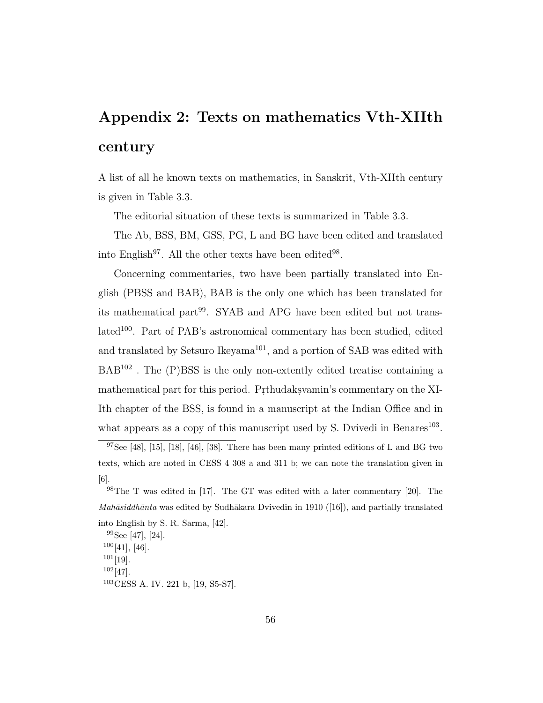# Appendix 2: Texts on mathematics Vth-XIIth century

A list of all he known texts on mathematics, in Sanskrit, Vth-XIIth century is given in Table 3.3.

The editorial situation of these texts is summarized in Table 3.3.

The Ab, BSS, BM, GSS, PG, L and BG have been edited and translated into English<sup>97</sup>. All the other texts have been edited<sup>98</sup>.

Concerning commentaries, two have been partially translated into English (PBSS and BAB), BAB is the only one which has been translated for its mathematical part<sup>99</sup>. SYAB and APG have been edited but not translated<sup>100</sup>. Part of PAB's astronomical commentary has been studied, edited and translated by Setsuro Ikeyama<sup>101</sup>, and a portion of SAB was edited with  $BAB^{102}$ . The  $(P)BSS$  is the only non-extently edited treatise containing a mathematical part for this period. Prthudaksyamin's commentary on the XI-Ith chapter of the BSS, is found in a manuscript at the Indian Office and in what appears as a copy of this manuscript used by S. Dvivedi in Benares<sup>103</sup>.

<sup>&</sup>lt;sup>97</sup>See [48], [15], [18], [46], [38]. There has been many printed editions of L and BG two texts, which are noted in CESS 4 308 a and 311 b; we can note the translation given in [6].

<sup>98</sup>The T was edited in [17]. The GT was edited with a later commentary [20]. The  $Mahāsiddhānta$  was edited by Sudhākara Dvivedin in 1910 ([16]), and partially translated into English by S. R. Sarma, [42].

<sup>99</sup>See [47], [24].  $100[41]$ , [46].  $101[19]$ .  $102[47]$ . <sup>103</sup>CESS A. IV. 221 b, [19, S5-S7].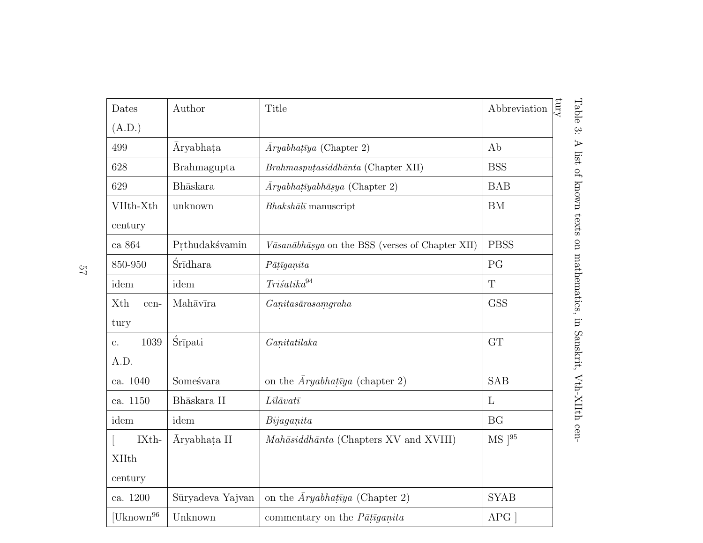| Dates                 | Author           | Title                                            | Abbreviation |
|-----------------------|------------------|--------------------------------------------------|--------------|
| (A.D.)                |                  |                                                  |              |
| 499                   | <i>Aryabhata</i> | $\bar{A}ryabhat\bar{v}ya$ (Chapter 2)            | Ab           |
| 628                   | Brahmagupta      | Brahmasputasiddhānta (Chapter XII)               | <b>BSS</b>   |
| 629                   | Bhāskara         | $\bar{A}ryabhat\bar{y}abh\bar{a}sya$ (Chapter 2) | <b>BAB</b>   |
| VIIth-Xth             | unknown          | $Bhaksh\bar{a}l\bar{\iota}$ manuscript           | <b>BM</b>    |
| century               |                  |                                                  |              |
| ca $864\,$            | Prthudakśvamin   | Vāsanābhāṣya on the BSS (verses of Chapter XII)  | <b>PBSS</b>  |
| 850-950               | Śrīdhara         | $P\bar{a}t\bar{t}ganita$                         | PG           |
| idem                  | idem             | Trišatika <sup>94</sup>                          | $\mathbf T$  |
| Xth<br>cen-           | Mahāvīra         | Ganitasāras amgraha                              | <b>GSS</b>   |
| tury                  |                  |                                                  |              |
| 1039<br>c.            | <b>Śrīpati</b>   | Ganitatilaka                                     | GT           |
| A.D.                  |                  |                                                  |              |
| ca. 1040              | Someśvara        | on the $\bar{A}ryabhat\bar{v}ya$ (chapter 2)     | <b>SAB</b>   |
| ca. 1150              | Bhāskara II      | $L\bar{u}\bar{a}v$ atī                           | L            |
| idem                  | idem             | Biga                                             | <b>BG</b>    |
| IXth-                 | Aryabhata II     | Mahāsiddhānta (Chapters XV and XVIII)            | $MS$ [95     |
| <b>XIIth</b>          |                  |                                                  |              |
| century               |                  |                                                  |              |
| ca. 1200              | Sūryadeva Yajvan | on the $\bar{A}ryabhat\bar{y}a$ (Chapter 2)      | <b>SYAB</b>  |
| [Uknown <sup>96</sup> | Unknown          | commentary on the $P\bar{a}t\bar{a}ganita$       | APG          |

57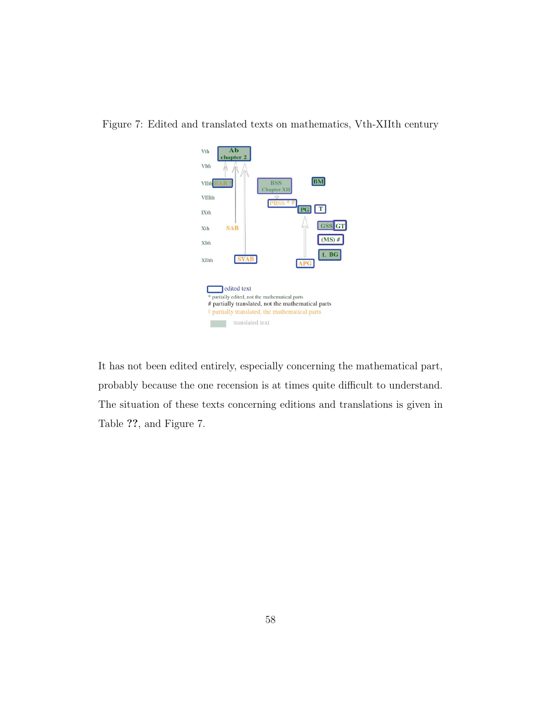

Figure 7: Edited and translated texts on mathematics, Vth-XIIth century

It has not been edited entirely, especially concerning the mathematical part, probably because the one recension is at times quite difficult to understand. The situation of these texts concerning editions and translations is given in Table ??, and Figure 7.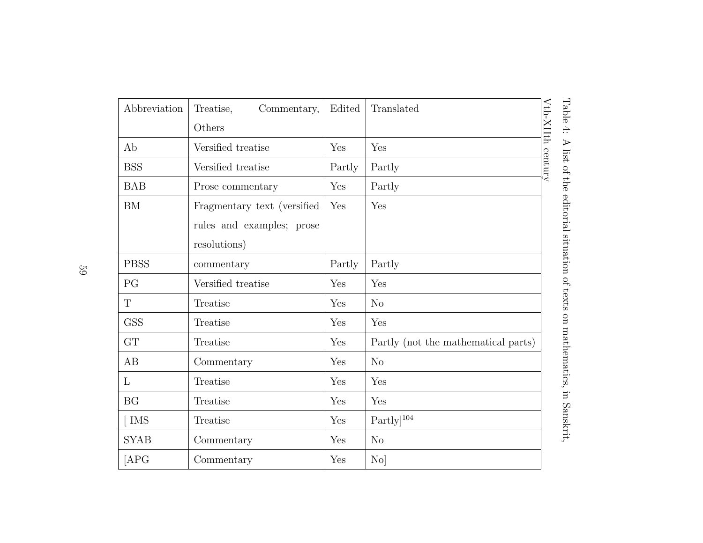| Abbreviation | Treatise,<br>Commentary,    | Edited | Translated                          |                   |
|--------------|-----------------------------|--------|-------------------------------------|-------------------|
|              | Others                      |        |                                     |                   |
| Ab           | Versified treatise          | Yes    | Yes                                 | Vth-XIIth century |
| <b>BSS</b>   | Versified treatise          | Partly | Partly                              |                   |
| <b>BAB</b>   | Prose commentary            | Yes    | Partly                              |                   |
| ${\rm BM}$   | Fragmentary text (versified | Yes    | Yes                                 |                   |
|              | rules and examples; prose   |        |                                     |                   |
|              | resolutions)                |        |                                     |                   |
| <b>PBSS</b>  | commentary                  | Partly | Partly                              |                   |
| PG           | Versified treatise          | Yes    | Yes                                 |                   |
| $\mathbf T$  | Treatise                    | Yes    | N <sub>o</sub>                      |                   |
| <b>GSS</b>   | Treatise                    | Yes    | Yes                                 |                   |
| <b>GT</b>    | Treatise                    | Yes    | Partly (not the mathematical parts) |                   |
| AB           | Commentary                  | Yes    | N <sub>o</sub>                      |                   |
| $\mathbf{L}$ | Treatise                    | Yes    | Yes                                 |                   |
| BG           | Treatise                    | Yes    | Yes                                 |                   |
| $\lceil$ IMS | Treatise                    | Yes    | $Partly]$ <sup>104</sup>            |                   |
| <b>SYAB</b>  | Commentary                  | Yes    | N <sub>o</sub>                      |                   |
| [APG]        | Commentary                  | Yes    | $\rm{No}$                           |                   |

59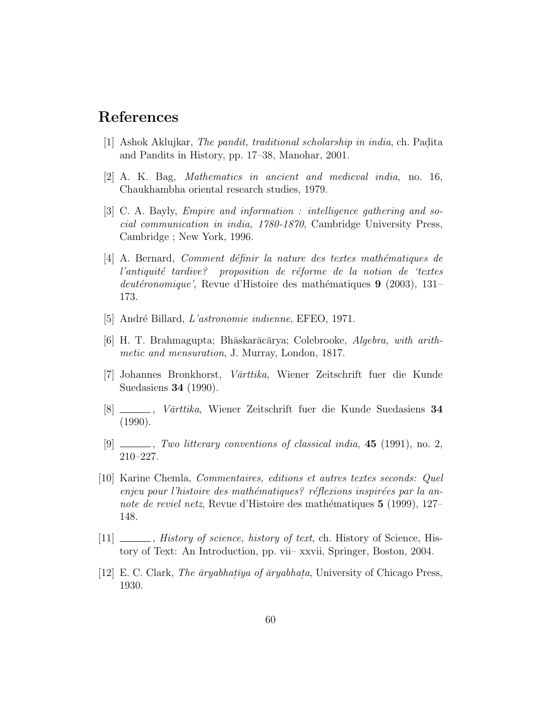### References

- [1] Ashok Aklujkar, *The pandit, traditional scholarship in india*, ch. Padita and Pandits in History, pp. 17–38, Manohar, 2001.
- [2] A. K. Bag, *Mathematics in ancient and medieval india*, no. 16, Chaukhambha oriental research studies, 1979.
- [3] C. A. Bayly, *Empire and information : intelligence gathering and social communication in india, 1780-1870*, Cambridge University Press, Cambridge ; New York, 1996.
- [4] A. Bernard, *Comment définir la nature des textes mathématiques de l'antiquité tardive?* proposition de réforme de la notion de 'textes *deutéronomique'*, Revue d'Histoire des mathématiques 9 (2003), 131– 173.
- [5] Andr´e Billard, *L'astronomie indienne*, EFEO, 1971.
- [6] H. T. Brahmagupta; Bh¯askar¯ac¯arya; Colebrooke, *Algebra, with arithmetic and mensuration*, J. Murray, London, 1817.
- [7] Johannes Bronkhorst, *V¯arttika*, Wiener Zeitschrift fuer die Kunde Suedasiens 34 (1990).
- [8] , *V¯arttika*, Wiener Zeitschrift fuer die Kunde Suedasiens 34 (1990).
- [9] , *Two litterary conventions of classical india*, 45 (1991), no. 2, 210–227.
- [10] Karine Chemla, *Commentaires, editions et autres textes seconds: Quel enjeu pour l'histoire des mathématiques? réflexions inspirées par la annote de reviel netz*, Revue d'Histoire des mathématiques 5 (1999), 127– 148.
- [11] , *History of science, history of text*, ch. History of Science, History of Text: An Introduction, pp. vii– xxvii, Springer, Boston, 2004.
- [12] E. C. Clark, *The aryabhataya of aryabhata*, University of Chicago Press, 1930.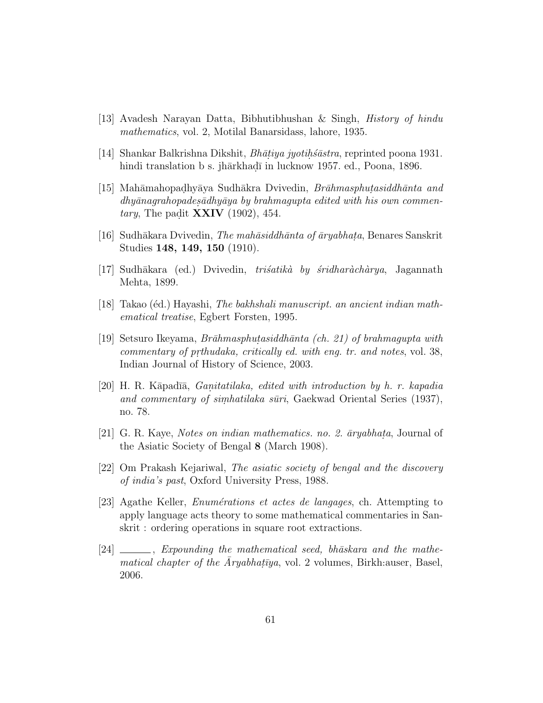- [13] Avadesh Narayan Datta, Bibhutibhushan & Singh, *History of hindu mathematics*, vol. 2, Motilal Banarsidass, lahore, 1935.
- [14] Shankar Balkrishna Dikshit, *Bhāṭiya jyotiḥśāstra*, reprinted poona 1931. hindi translation b s. jhārkhadī in lucknow 1957. ed., Poona, 1896.
- [15] Mah¯amahopad.hy¯aya Sudh¯akra Dvivedin, *Br¯ahmasphut.asiddh¯anta and* dhyānagrahopades*ādhyāya by brahmagupta edited with his own commentary*, The padit **XXIV** (1902), 454.
- [16] Sudh¯akara Dvivedin, *The mah¯asiddh¯anta of ¯aryabhat.a*, Benares Sanskrit Studies 148, 149, 150 (1910).
- [17] Sudh¯akara (ed.) Dvivedin, *tri´satik`a by ´sridhar`ach`arya*, Jagannath Mehta, 1899.
- [18] Takao (éd.) Hayashi, *The bakhshali manuscript. an ancient indian mathematical treatise*, Egbert Forsten, 1995.
- [19] Setsuro Ikeyama, *Br¯ahmasphut.asiddh¯anta (ch. 21) of brahmagupta with commentary of prthudaka, critically ed. with eng. tr. and notes, vol.* 38, Indian Journal of History of Science, 2003.
- [20] H. R. K¯apad¯ı¯a, *Gan. itatilaka, edited with introduction by h. r. kapadia and commentary of simhatilaka sūri*, Gaekwad Oriental Series (1937), no. 78.
- [21] G. R. Kaye, *Notes on indian mathematics. no. 2.*  $\bar{a}$ *ryabhata*, Journal of the Asiatic Society of Bengal 8 (March 1908).
- [22] Om Prakash Kejariwal, *The asiatic society of bengal and the discovery of india's past*, Oxford University Press, 1988.
- [23] Agathe Keller, *Enum´erations et actes de langages*, ch. Attempting to apply language acts theory to some mathematical commentaries in Sanskrit : ordering operations in square root extractions.
- [24] \_\_\_\_, *Expounding the mathematical seed, bhāskara and the mathematical chapter of the*  $\bar{A}ryabhat\{y}a$ , vol. 2 volumes, Birkh:auser, Basel, 2006.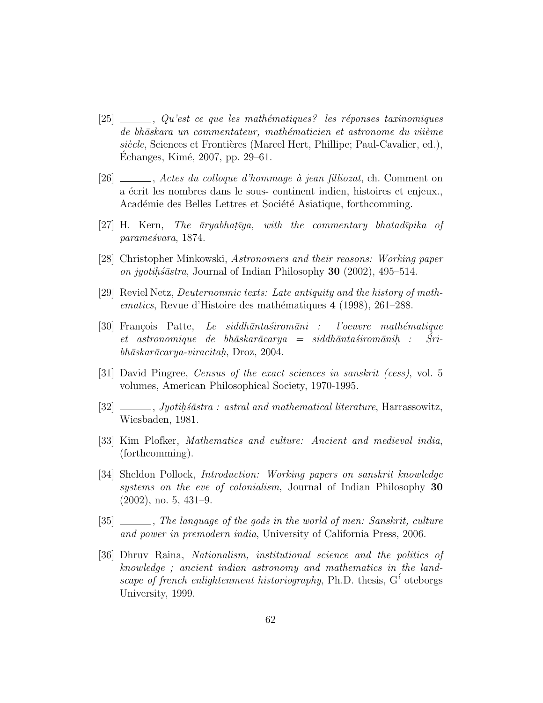- [25]  $\qquad \qquad$ , *Qu'est ce que les mathématiques?* les réponses taxinomiques *de bh¯askara un commentateur, math´ematicien et astronome du vii`eme siècle*, Sciences et Frontières (Marcel Hert, Phillipe; Paul-Cavalier, ed.), Echanges, Kim´e, 2007, pp. 29–61. ´
- [26] , *Actes du colloque d'hommage `a jean filliozat*, ch. Comment on a écrit les nombres dans le sous- continent indien, histoires et enjeux. Académie des Belles Lettres et Société Asiatique, forthcomming.
- [27] H. Kern, *The aryabhatiya, with the commentary bhatadipika of parame´svara*, 1874.
- [28] Christopher Minkowski, *Astronomers and their reasons: Working paper on jyotih.osastra*, Journal of Indian Philosophy 30 (2002), 495–514.
- [29] Reviel Netz, *Deuternonmic texts: Late antiquity and the history of mathematics*, Revue d'Histoire des mathématiques 4 (1998), 261–288.
- [30] Fran¸cois Patte, *Le siddh¯anta´sirom¯ani : l'oeuvre math´ematique et astronomique de bhāskarācarya = siddhāntaśiromānih*: *: Sri- ´ bh¯askar¯acarya-viracitah.* , Droz, 2004.
- [31] David Pingree, *Census of the exact sciences in sanskrit (cess)*, vol. 5 volumes, American Philosophical Society, 1970-1995.
- [32] *\_\_\_\_\_, Jyotih.official independence in mathematical literature*, Harrassowitz, Wiesbaden, 1981.
- [33] Kim Plofker, *Mathematics and culture: Ancient and medieval india*, (forthcomming).
- [34] Sheldon Pollock, *Introduction: Working papers on sanskrit knowledge systems on the eve of colonialism*, Journal of Indian Philosophy 30 (2002), no. 5, 431–9.
- [35] , *The language of the gods in the world of men: Sanskrit, culture and power in premodern india*, University of California Press, 2006.
- [36] Dhruv Raina, *Nationalism, institutional science and the politics of knowledge ; ancient indian astronomy and mathematics in the landscape of french enlightenment historiography*, Ph.D. thesis, G´' oteborgs University, 1999.